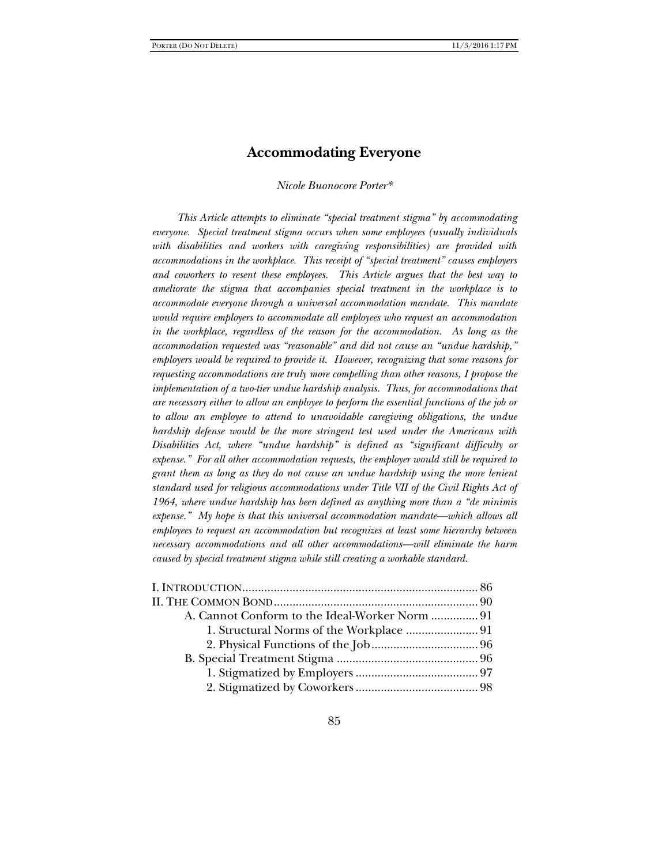# **Accommodating Everyone**

*Nicole Buonocore Porter\** 

*This Article attempts to eliminate "special treatment stigma" by accommodating everyone. Special treatment stigma occurs when some employees (usually individuals with disabilities and workers with caregiving responsibilities) are provided with accommodations in the workplace. This receipt of "special treatment" causes employers and coworkers to resent these employees. This Article argues that the best way to ameliorate the stigma that accompanies special treatment in the workplace is to accommodate everyone through a universal accommodation mandate. This mandate would require employers to accommodate all employees who request an accommodation in the workplace, regardless of the reason for the accommodation. As long as the accommodation requested was "reasonable" and did not cause an "undue hardship," employers would be required to provide it. However, recognizing that some reasons for requesting accommodations are truly more compelling than other reasons, I propose the implementation of a two-tier undue hardship analysis. Thus, for accommodations that are necessary either to allow an employee to perform the essential functions of the job or to allow an employee to attend to unavoidable caregiving obligations, the undue hardship defense would be the more stringent test used under the Americans with Disabilities Act, where "undue hardship" is defined as "significant difficulty or expense." For all other accommodation requests, the employer would still be required to grant them as long as they do not cause an undue hardship using the more lenient standard used for religious accommodations under Title VII of the Civil Rights Act of 1964, where undue hardship has been defined as anything more than a "de minimis expense." My hope is that this universal accommodation mandate—which allows all employees to request an accommodation but recognizes at least some hierarchy between necessary accommodations and all other accommodations—will eliminate the harm caused by special treatment stigma while still creating a workable standard.*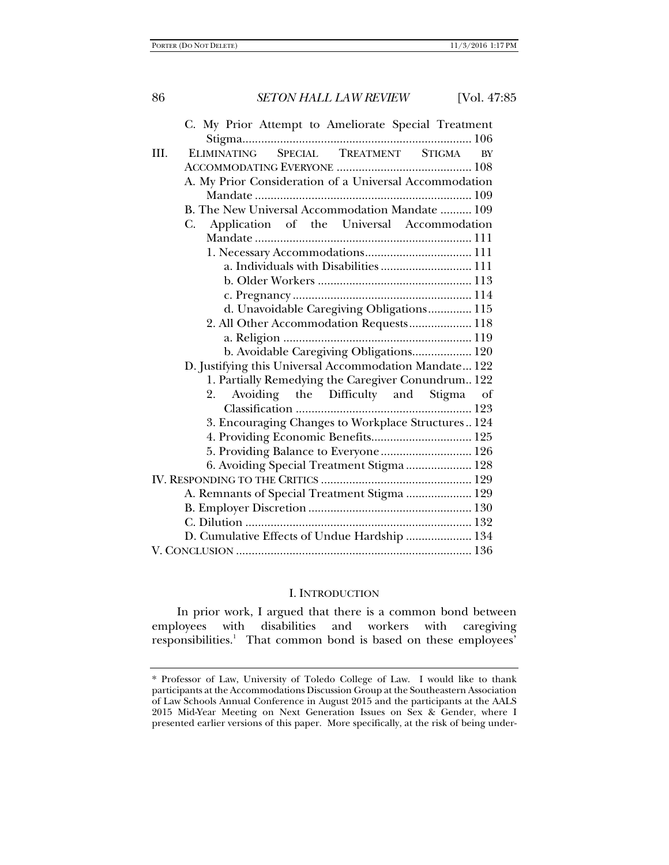86 *SETON HALL LAW REVIEW* [Vol. 47:85 C. My Prior Attempt to Ameliorate Special Treatment Stigma......................................................................... 106 III. ELIMINATING SPECIAL TREATMENT STIGMA BY ACCOMMODATING EVERYONE ........................................... 108 A. My Prior Consideration of a Universal Accommodation Mandate ..................................................................... 109 B. The New Universal Accommodation Mandate .......... 109 C. Application of the Universal Accommodation Mandate ..................................................................... 111 1. Necessary Accommodations .................................. 111 a. Individuals with Disabilities ............................. 111 b. Older Workers ................................................. 113 c. Pregnancy ......................................................... 114 d. Unavoidable Caregiving Obligations .............. 115 2. All Other Accommodation Requests .................... 118 a. Religion ............................................................ 119 b. Avoidable Caregiving Obligations................... 120 D. Justifying this Universal Accommodation Mandate ... 122 1. Partially Remedying the Caregiver Conundrum... 122 2. Avoiding the Difficulty and Stigma of Classification ........................................................ 123 3. Encouraging Changes to Workplace Structures .. 124 4. Providing Economic Benefits ................................ 125 5. Providing Balance to Everyone ............................. 126 6. Avoiding Special Treatment Stigma ..................... 128 IV. RESPONDING TO THE CRITICS ................................................ 129 A. Remnants of Special Treatment Stigma ..................... 129 B. Employer Discretion .................................................... 130 C. Dilution ........................................................................ 132

D. Cumulative Effects of Undue Hardship ..................... 134 V. CONCLUSION ........................................................................... 136

#### I. INTRODUCTION

In prior work, I argued that there is a common bond between employees with disabilities and workers with caregiving responsibilities.<sup>1</sup> That common bond is based on these employees'

<sup>\*</sup> Professor of Law, University of Toledo College of Law. I would like to thank participants at the Accommodations Discussion Group at the Southeastern Association of Law Schools Annual Conference in August 2015 and the participants at the AALS 2015 Mid-Year Meeting on Next Generation Issues on Sex & Gender, where I presented earlier versions of this paper. More specifically, at the risk of being under-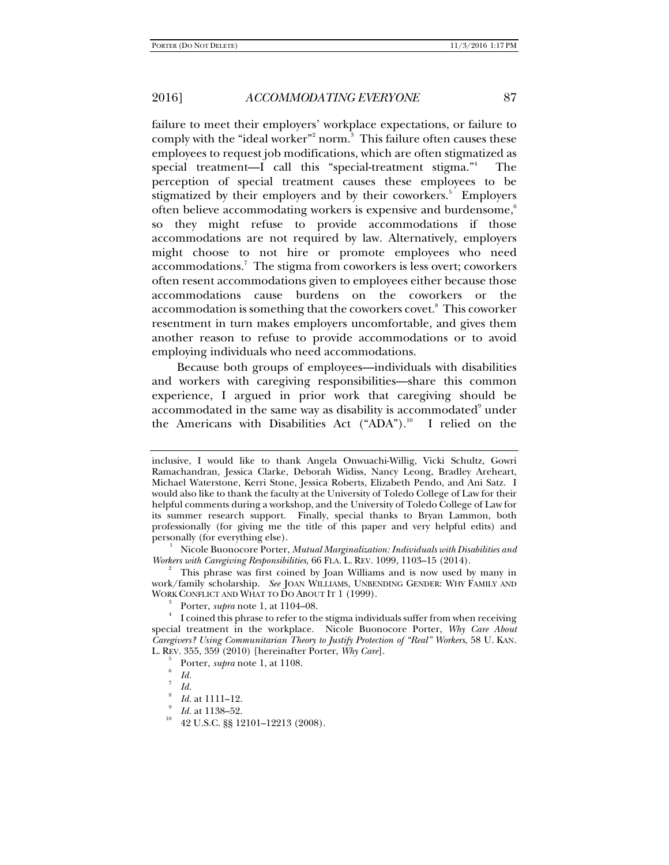failure to meet their employers' workplace expectations, or failure to comply with the "ideal worker"<sup>2</sup> norm.<sup>3</sup> This failure often causes these employees to request job modifications, which are often stigmatized as special treatment—I call this "special-treatment stigma."<sup>4</sup> The perception of special treatment causes these employees to be stigmatized by their employers and by their coworkers.<sup>5</sup> Employers often believe accommodating workers is expensive and burdensome, $6\%$ so they might refuse to provide accommodations if those accommodations are not required by law. Alternatively, employers might choose to not hire or promote employees who need accommodations.<sup>7</sup> The stigma from coworkers is less overt; coworkers often resent accommodations given to employees either because those accommodations cause burdens on the coworkers or the accommodation is something that the coworkers covet.8 This coworker resentment in turn makes employers uncomfortable, and gives them another reason to refuse to provide accommodations or to avoid employing individuals who need accommodations.

Because both groups of employees—individuals with disabilities and workers with caregiving responsibilities—share this common experience, I argued in prior work that caregiving should be accommodated in the same way as disability is accommodated $^{\circ}$  under the Americans with Disabilities Act  $("ADA")$ .<sup>10</sup> I relied on the

 $\frac{1}{\sqrt{1-\frac{1}{2}}}$  Nicole Buonocore Porter, *Mutual Marginalization: Individuals with Disabilities and Workers with Caregiving Responsibilities*, 66 FLA. L. REV. 1099, 1103–15 (2014). 2

 This phrase was first coined by Joan Williams and is now used by many in work/family scholarship. *See* JOAN WILLIAMS, UNBENDING GENDER: WHY FAMILY AND WORK CONFLICT AND WHAT TO DO ABOUT IT 1 (1999).

Porter, *supra* note 1, at 1104–08. 4

 I coined this phrase to refer to the stigma individuals suffer from when receiving special treatment in the workplace. Nicole Buonocore Porter, *Why Care About Caregivers? Using Communitarian Theory to Justify Protection of "Real" Workers*, 58 U. KAN. L. REV. 355, 359 (2010) [hereinafter Porter, *Why Care*]. 5

- $\frac{1}{6}$  Porter, *supra* note 1, at 1108.
- $\int_{7}^{6}$  *Id.*
- $Id.$

- *Id.* at 1111–12.<br>*Id.* at 1138–52.
- <sup>10</sup> 42 U.S.C. §§ 12101–12213 (2008).

inclusive, I would like to thank Angela Onwuachi-Willig, Vicki Schultz, Gowri Ramachandran, Jessica Clarke, Deborah Widiss, Nancy Leong, Bradley Areheart, Michael Waterstone, Kerri Stone, Jessica Roberts, Elizabeth Pendo, and Ani Satz. I would also like to thank the faculty at the University of Toledo College of Law for their helpful comments during a workshop, and the University of Toledo College of Law for its summer research support. Finally, special thanks to Bryan Lammon, both professionally (for giving me the title of this paper and very helpful edits) and personally (for everything else).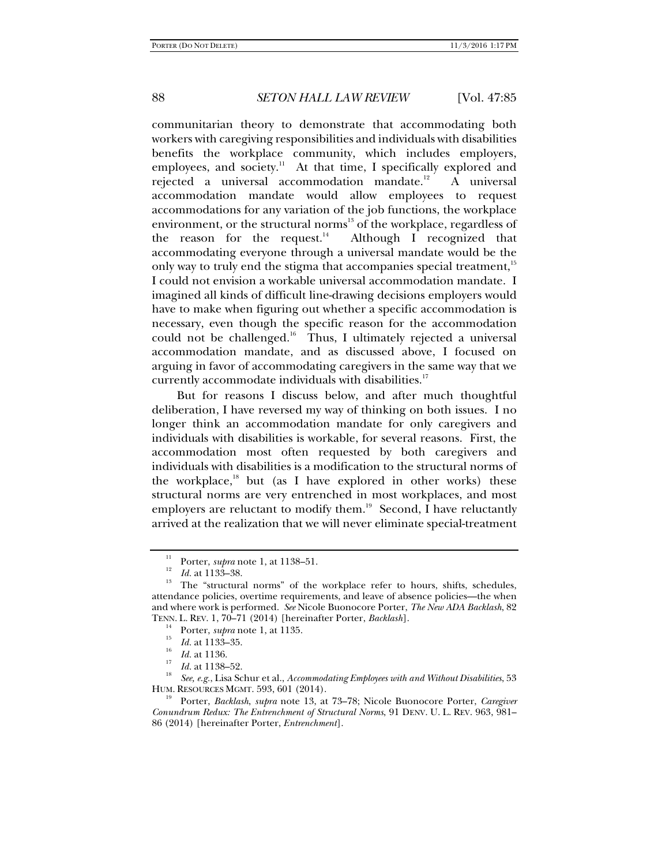communitarian theory to demonstrate that accommodating both workers with caregiving responsibilities and individuals with disabilities benefits the workplace community, which includes employers, employees, and society.<sup>11</sup> At that time, I specifically explored and rejected a universal accommodation mandate.<sup>12</sup> A universal accommodation mandate would allow employees to request accommodations for any variation of the job functions, the workplace environment, or the structural norms<sup>13</sup> of the workplace, regardless of the reason for the request.<sup>14</sup> Although I recognized that accommodating everyone through a universal mandate would be the only way to truly end the stigma that accompanies special treatment,<sup>15</sup> I could not envision a workable universal accommodation mandate. I imagined all kinds of difficult line-drawing decisions employers would have to make when figuring out whether a specific accommodation is necessary, even though the specific reason for the accommodation could not be challenged.<sup>16</sup> Thus, I ultimately rejected a universal accommodation mandate, and as discussed above, I focused on arguing in favor of accommodating caregivers in the same way that we currently accommodate individuals with disabilities.<sup>17</sup>

But for reasons I discuss below, and after much thoughtful deliberation, I have reversed my way of thinking on both issues. I no longer think an accommodation mandate for only caregivers and individuals with disabilities is workable, for several reasons. First, the accommodation most often requested by both caregivers and individuals with disabilities is a modification to the structural norms of the workplace, $18$  but (as I have explored in other works) these structural norms are very entrenched in most workplaces, and most employers are reluctant to modify them.<sup>19</sup> Second, I have reluctantly arrived at the realization that we will never eliminate special-treatment

- 
- 

*See, e.g.*, Lisa Schur et al., *Accommodating Employees with and Without Disabilities*, 53

Porter, *Backlash, supra* note 13, at 73-78; Nicole Buonocore Porter, *Caregiver Conundrum Redux: The Entrenchment of Structural Norms*, 91 DENV. U. L. REV. 963, 981– 86 (2014) [hereinafter Porter, *Entrenchment*].

<sup>&</sup>lt;sup>11</sup> Porter, *supra* note 1, at 1138–51.<br><sup>12</sup> *Id.* at 1133–38.<br><sup>13</sup> The "structural norms" of the workplace refer to hours, shifts, schedules, attendance policies, overtime requirements, and leave of absence policies—the when and where work is performed. *See* Nicole Buonocore Porter, *The New ADA Backlash*, 82 TENN. L. REV. 1, 70–71 (2014) [hereinafter Porter, *Backlash*].<br><sup>14</sup> Porter, *supra* note 1, at 1135.<br><sup>15</sup> Id. at 1133–35.

<sup>&</sup>lt;sup>16</sup> *Id.* at 1136.<br><sup>17</sup> *Id.* at 1138–52.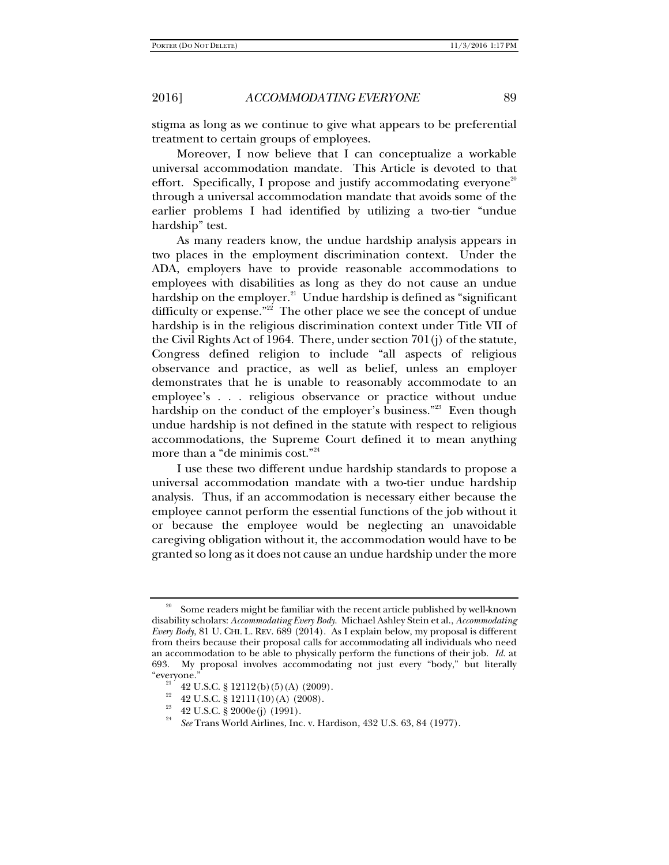stigma as long as we continue to give what appears to be preferential treatment to certain groups of employees.

Moreover, I now believe that I can conceptualize a workable universal accommodation mandate. This Article is devoted to that effort. Specifically, I propose and justify accommodating everyone<sup>20</sup> through a universal accommodation mandate that avoids some of the earlier problems I had identified by utilizing a two-tier "undue hardship" test.

As many readers know, the undue hardship analysis appears in two places in the employment discrimination context. Under the ADA, employers have to provide reasonable accommodations to employees with disabilities as long as they do not cause an undue hardship on the employer.<sup>21</sup> Undue hardship is defined as "significant difficulty or expense."<sup>22</sup> The other place we see the concept of undue hardship is in the religious discrimination context under Title VII of the Civil Rights Act of 1964. There, under section 701(j) of the statute, Congress defined religion to include "all aspects of religious observance and practice, as well as belief, unless an employer demonstrates that he is unable to reasonably accommodate to an employee's . . . religious observance or practice without undue hardship on the conduct of the employer's business."<sup>23</sup> Even though undue hardship is not defined in the statute with respect to religious accommodations, the Supreme Court defined it to mean anything more than a "de minimis cost."<sup>24</sup>

I use these two different undue hardship standards to propose a universal accommodation mandate with a two-tier undue hardship analysis. Thus, if an accommodation is necessary either because the employee cannot perform the essential functions of the job without it or because the employee would be neglecting an unavoidable caregiving obligation without it, the accommodation would have to be granted so long as it does not cause an undue hardship under the more

Some readers might be familiar with the recent article published by well-known disability scholars: *Accommodating Every Body*. Michael Ashley Stein et al., *Accommodating Every Body*, 81 U. CHI. L. REV. 689 (2014). As I explain below, my proposal is different from theirs because their proposal calls for accommodating all individuals who need an accommodation to be able to physically perform the functions of their job. *Id.* at 693. My proposal involves accommodating not just every "body," but literally

<sup>42</sup> U.S.C.  $\S 12112(b)(5)(A)$  (2009).

<sup>&</sup>lt;sup>22</sup> 42 U.S.C. § 12111(10)(A) (2008).

<sup>23 42</sup> U.S.C. § 2000e(j) (1991).

<sup>24</sup> *See* Trans World Airlines, Inc. v. Hardison, 432 U.S. 63, 84 (1977).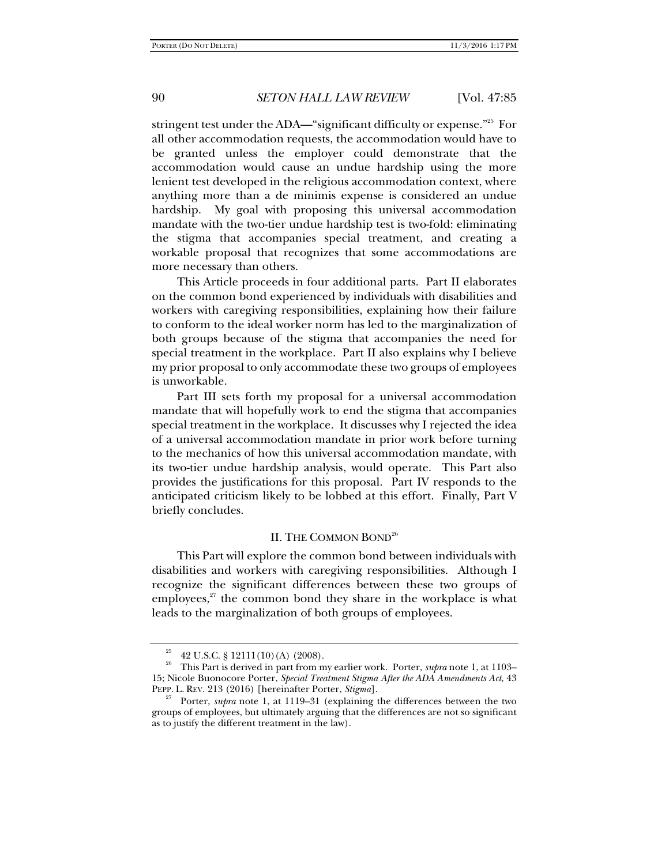stringent test under the ADA—"significant difficulty or expense."<sup>25</sup> For all other accommodation requests, the accommodation would have to be granted unless the employer could demonstrate that the accommodation would cause an undue hardship using the more lenient test developed in the religious accommodation context, where anything more than a de minimis expense is considered an undue hardship. My goal with proposing this universal accommodation mandate with the two-tier undue hardship test is two-fold: eliminating the stigma that accompanies special treatment, and creating a workable proposal that recognizes that some accommodations are more necessary than others.

This Article proceeds in four additional parts. Part II elaborates on the common bond experienced by individuals with disabilities and workers with caregiving responsibilities, explaining how their failure to conform to the ideal worker norm has led to the marginalization of both groups because of the stigma that accompanies the need for special treatment in the workplace. Part II also explains why I believe my prior proposal to only accommodate these two groups of employees is unworkable.

Part III sets forth my proposal for a universal accommodation mandate that will hopefully work to end the stigma that accompanies special treatment in the workplace. It discusses why I rejected the idea of a universal accommodation mandate in prior work before turning to the mechanics of how this universal accommodation mandate, with its two-tier undue hardship analysis, would operate. This Part also provides the justifications for this proposal. Part IV responds to the anticipated criticism likely to be lobbed at this effort. Finally, Part V briefly concludes.

## II. THE COMMON BOND<sup>26</sup>

This Part will explore the common bond between individuals with disabilities and workers with caregiving responsibilities. Although I recognize the significant differences between these two groups of employees, $27$  the common bond they share in the workplace is what leads to the marginalization of both groups of employees.

<sup>25 42</sup> U.S.C. § 12111(10)(A) (2008).

<sup>&</sup>lt;sup>26</sup> This Part is derived in part from my earlier work. Porter, *supra* note 1, at 1103– 15; Nicole Buonocore Porter, *Special Treatment Stigma After the ADA Amendments Act*, 43

Porter, *supra* note 1, at 1119–31 (explaining the differences between the two groups of employees, but ultimately arguing that the differences are not so significant as to justify the different treatment in the law).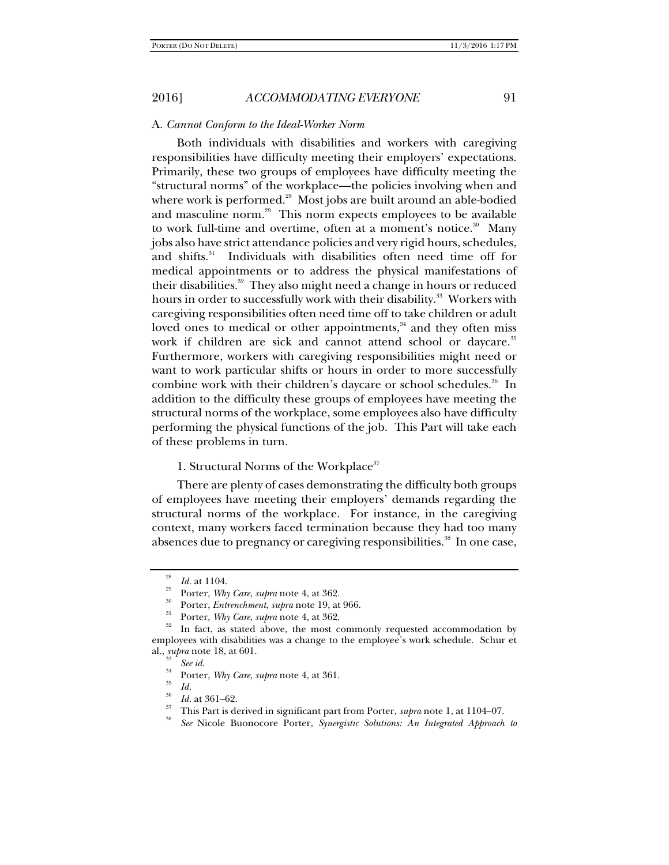## A. *Cannot Conform to the Ideal-Worker Norm*

Both individuals with disabilities and workers with caregiving responsibilities have difficulty meeting their employers' expectations. Primarily, these two groups of employees have difficulty meeting the "structural norms" of the workplace—the policies involving when and where work is performed. $^{28}$  Most jobs are built around an able-bodied and masculine norm.<sup>29</sup> This norm expects employees to be available to work full-time and overtime, often at a moment's notice.<sup>30</sup> Many jobs also have strict attendance policies and very rigid hours, schedules, and shifts.<sup>31</sup> Individuals with disabilities often need time off for medical appointments or to address the physical manifestations of their disabilities.<sup>32</sup> They also might need a change in hours or reduced hours in order to successfully work with their disability.<sup>33</sup> Workers with caregiving responsibilities often need time off to take children or adult loved ones to medical or other appointments,<sup>34</sup> and they often miss work if children are sick and cannot attend school or daycare.<sup>35</sup> Furthermore, workers with caregiving responsibilities might need or want to work particular shifts or hours in order to more successfully combine work with their children's daycare or school schedules.<sup>36</sup> In addition to the difficulty these groups of employees have meeting the structural norms of the workplace, some employees also have difficulty performing the physical functions of the job. This Part will take each of these problems in turn.

1. Structural Norms of the Workplace<sup>37</sup>

There are plenty of cases demonstrating the difficulty both groups of employees have meeting their employers' demands regarding the structural norms of the workplace. For instance, in the caregiving context, many workers faced termination because they had too many absences due to pregnancy or caregiving responsibilities.<sup>38</sup> In one case,

<sup>28</sup>

<sup>&</sup>lt;sup>29</sup> *Id.* at 1104.<br><sup>29</sup> Porter, *Why Care, supra* note 4, at 362.<br><sup>30</sup> Porter, *Entrenchment, supra* note 19, at 966.<br><sup>31</sup> Porter, *Why Care, supra* note 4, at 362.<br><sup>32</sup> In fact, as stated above, the most commonly reques employees with disabilities was a change to the employee's work schedule. Schur et al., *supra* note 18, at 601.<br><sup>33</sup> *See id.*<br><sup>34</sup> Porter, *Why Care*, *supra* note 4, at 361.<br><sup>35</sup> *Id.* at 361–62.

*Ihis Part is derived in significant part from Porter, <i>supra* note 1, at 1104–07.

*See* Nicole Buonocore Porter, *Synergistic Solutions: An Integrated Approach to*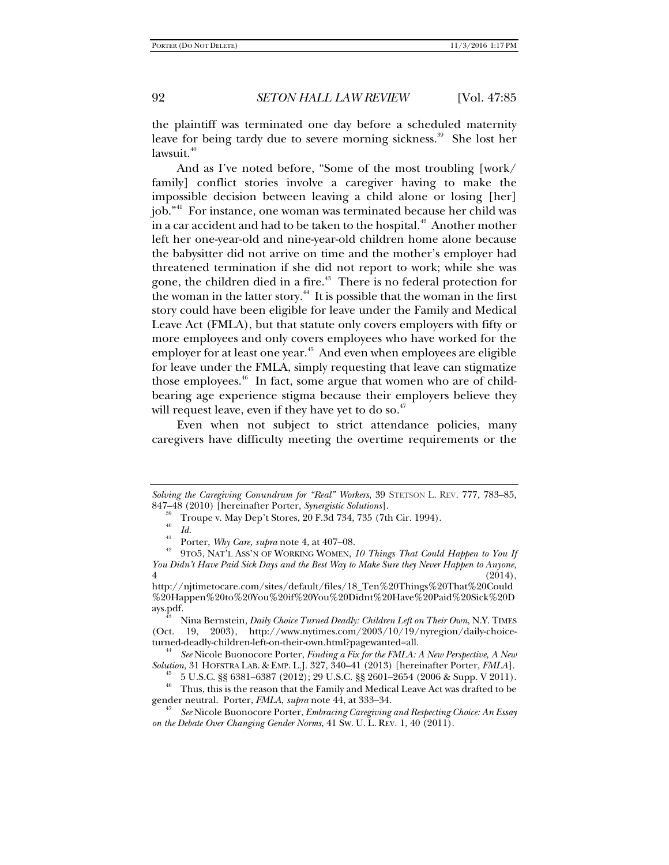the plaintiff was terminated one day before a scheduled maternity leave for being tardy due to severe morning sickness.<sup>39</sup> She lost her  $lawsuit.<sup>40</sup>$ 

And as I've noted before, "Some of the most troubling [work/ family] conflict stories involve a caregiver having to make the impossible decision between leaving a child alone or losing [her] job."41 For instance, one woman was terminated because her child was in a car accident and had to be taken to the hospital.<sup>42</sup> Another mother left her one-year-old and nine-year-old children home alone because the babysitter did not arrive on time and the mother's employer had threatened termination if she did not report to work; while she was gone, the children died in a fire.<sup>43</sup> There is no federal protection for the woman in the latter story.<sup>44</sup> It is possible that the woman in the first story could have been eligible for leave under the Family and Medical Leave Act (FMLA), but that statute only covers employers with fifty or more employees and only covers employees who have worked for the employer for at least one year.<sup>45</sup> And even when employees are eligible for leave under the FMLA, simply requesting that leave can stigmatize those employees. $46$  In fact, some argue that women who are of childbearing age experience stigma because their employers believe they will request leave, even if they have yet to do so. $47$ 

Even when not subject to strict attendance policies, many caregivers have difficulty meeting the overtime requirements or the

*Solving the Caregiving Conundrum for "Real" Workers*, 39 STETSON L. REV*.* 777, 783–85,

<sup>&</sup>lt;sup>39</sup> Troupe v. May Dep't Stores, 20 F.3d 734, 735 (7th Cir. 1994). 40

<sup>&</sup>lt;sup>40</sup> Id.<br><sup>41</sup> Porter, *Why Care, supra* note 4, at 407–08.<br><sup>42</sup> 9TO5, NAT'L Ass'N OF WORKING WOMEN, 10 Things That Could Happen to You If *You Didn't Have Paid Sick Days and the Best Way to Make Sure they Never Happen to Anyone,*   $4 \t(2014),$ 

http://njtimetocare.com/sites/default/files/18\_Ten%20Things%20That%20Could %20Happen%20to%20You%20if%20You%20Didnt%20Have%20Paid%20Sick%20D

ays.pdf. 43 Nina Bernstein, *Daily Choice Turned Deadly: Children Left on Their Own*, N.Y. TIMES (Oct. 19, 2003), http://www.nytimes.com/2003/10/19/nyregion/daily-choice-<br>turned-deadly-children-left-on-their-own.html?pagewanted=all.

<sup>&</sup>lt;sup>44</sup> See Nicole Buonocore Porter, *Finding a Fix for the FMLA: A New Perspective, A New Solution*, 31 HOFSTRA LAB. & EMP. L. J. 327, 340–41 (2013) [hereinafter Porter, *FMLA*].

*<sup>5</sup>* U.S.C. §§ 6381–6387 (2012); 29 U.S.C. §§ 2601–2654 (2006 & Supp. V 2011). <sup>46</sup> Thus, this is the reason that the Family and Medical Leave Act was drafted to be gender neutral. Porter, *FMLA*, *supra* note 44, at 333–34. 47

*See* Nicole Buonocore Porter, *Embracing Caregiving and Respecting Choice: An Essay on the Debate Over Changing Gender Norms*, 41 SW. U. L. REV. 1, 40 (2011).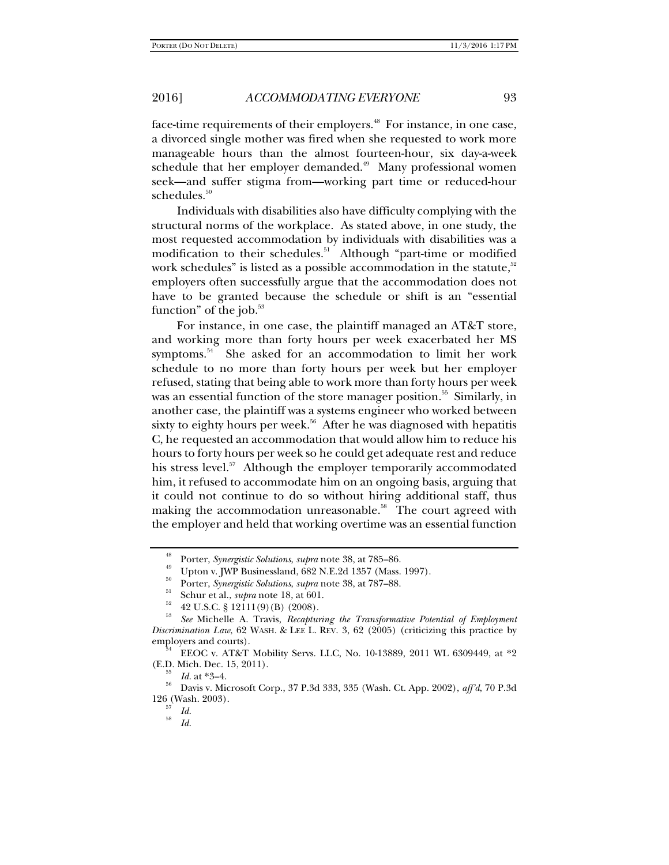face-time requirements of their employers.<sup>48</sup> For instance, in one case, a divorced single mother was fired when she requested to work more manageable hours than the almost fourteen-hour, six day-a-week schedule that her employer demanded.<sup>49</sup> Many professional women seek—and suffer stigma from—working part time or reduced-hour schedules.<sup>50</sup>

Individuals with disabilities also have difficulty complying with the structural norms of the workplace. As stated above, in one study, the most requested accommodation by individuals with disabilities was a modification to their schedules.<sup>51</sup> Although "part-time or modified work schedules" is listed as a possible accommodation in the statute, $52$ employers often successfully argue that the accommodation does not have to be granted because the schedule or shift is an "essential function" of the job. $53$ 

For instance, in one case, the plaintiff managed an AT&T store, and working more than forty hours per week exacerbated her MS symptoms.<sup>54</sup> She asked for an accommodation to limit her work schedule to no more than forty hours per week but her employer refused, stating that being able to work more than forty hours per week was an essential function of the store manager position.<sup>55</sup> Similarly, in another case, the plaintiff was a systems engineer who worked between sixty to eighty hours per week.<sup>56</sup> After he was diagnosed with hepatitis C, he requested an accommodation that would allow him to reduce his hours to forty hours per week so he could get adequate rest and reduce his stress level.<sup>57</sup> Although the employer temporarily accommodated him, it refused to accommodate him on an ongoing basis, arguing that it could not continue to do so without hiring additional staff, thus making the accommodation unreasonable.<sup>58</sup> The court agreed with the employer and held that working overtime was an essential function

<sup>&</sup>lt;sup>48</sup> Porter, *Synergistic Solutions, supra* note 38, at 785–86.<br><sup>49</sup> Upton v. JWP Businessland, 682 N.E.2d 1357 (Mass. 1997).

<sup>&</sup>lt;sup>50</sup> Porter, *Synergistic Solutions*, *supra* note 38, at 787–88.<br>
<sup>51</sup> Schur et al., *supra* note 18, at 601.<br>
<sup>52</sup> 42 U.S.C. § 12111(9)(B) (2008).

<sup>53</sup> *See* Michelle A. Travis, *Recapturing the Transformative Potential of Employment Discrimination Law*, 62 WASH. & LEE L. REV. 3, 62 (2005) (criticizing this practice by employers and courts).<br><sup>54</sup> EEOC v. AT&T Mobility Servs. LLC, No. 10-13889, 2011 WL 6309449, at  $*2$ 

<sup>(</sup>E.D. Mich. Dec. 15, 2011). 55 *Id*. at \*3–4. 56 Davis v. Microsoft Corp., 37 P.3d 333, 335 (Wash. Ct. App. 2002), *aff'd*, 70 P.3d

<sup>126 (</sup>Wash. 2003).<br>
<sup>57</sup> *Id.*<br>
<sup>58</sup> *Id.* 

*Id*.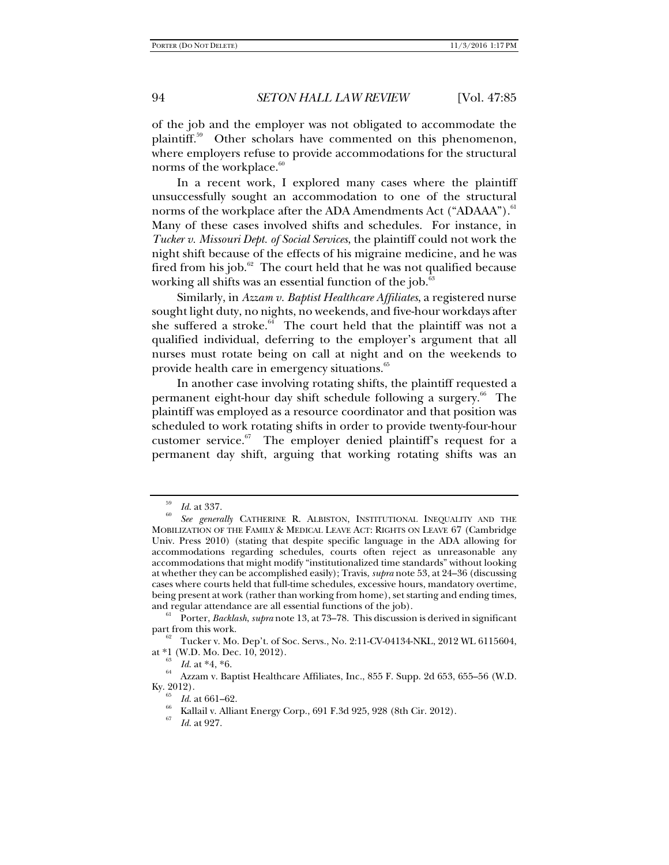of the job and the employer was not obligated to accommodate the plaintiff.<sup>59</sup> Other scholars have commented on this phenomenon, where employers refuse to provide accommodations for the structural norms of the workplace.<sup>60</sup>

In a recent work, I explored many cases where the plaintiff unsuccessfully sought an accommodation to one of the structural norms of the workplace after the ADA Amendments Act ("ADAAA").<sup>61</sup> Many of these cases involved shifts and schedules. For instance, in *Tucker v. Missouri Dept. of Social Services*, the plaintiff could not work the night shift because of the effects of his migraine medicine, and he was fired from his job. $62$  The court held that he was not qualified because working all shifts was an essential function of the job. $63$ 

Similarly, in *Azzam v. Baptist Healthcare Affiliates*, a registered nurse sought light duty, no nights, no weekends, and five-hour workdays after she suffered a stroke. $64$  The court held that the plaintiff was not a qualified individual, deferring to the employer's argument that all nurses must rotate being on call at night and on the weekends to provide health care in emergency situations.<sup>65</sup>

In another case involving rotating shifts, the plaintiff requested a permanent eight-hour day shift schedule following a surgery.<sup>66</sup> The plaintiff was employed as a resource coordinator and that position was scheduled to work rotating shifts in order to provide twenty-four-hour customer service. $67$  The employer denied plaintiff's request for a permanent day shift, arguing that working rotating shifts was an

<sup>59</sup>  $\frac{Jd}{60}$  *Id.* at 337.

*See generally* CATHERINE R. ALBISTON, INSTITUTIONAL INEQUALITY AND THE MOBILIZATION OF THE FAMILY & MEDICAL LEAVE ACT: RIGHTS ON LEAVE 67 (Cambridge Univ. Press 2010) (stating that despite specific language in the ADA allowing for accommodations regarding schedules, courts often reject as unreasonable any accommodations that might modify "institutionalized time standards" without looking at whether they can be accomplished easily); Travis, *supra* note 53, at 24–36 (discussing cases where courts held that full-time schedules, excessive hours, mandatory overtime, being present at work (rather than working from home), set starting and ending times, and regular attendance are all essential functions of the job).

<sup>&</sup>lt;sup>61</sup> Porter, *Backlash*, *supra* note 13, at 73–78. This discussion is derived in significant part from this work.

<sup>&</sup>lt;sup>62</sup> Tucker v. Mo. Dep't. of Soc. Servs., No. 2:11-CV-04134-NKL, 2012 WL 6115604, at \*1 (W.D. Mo. Dec. 10, 2012).

 $\frac{64}{64}$  *Id.* at \*4, \*6. <br><sup>64</sup> Azzam v. Baptist Healthcare Affiliates, Inc., 855 F. Supp. 2d 653, 655–56 (W.D. Ky. 2012).<br> $\frac{65}{65}$  *Id.* at 661–62.

*Id.* at 661–62.<br><sup>66</sup> Kallail v. Alliant Energy Corp., 691 F.3d 925, 928 (8th Cir. 2012).<br><sup>67</sup> *H* = 1.097

*Id*. at 927.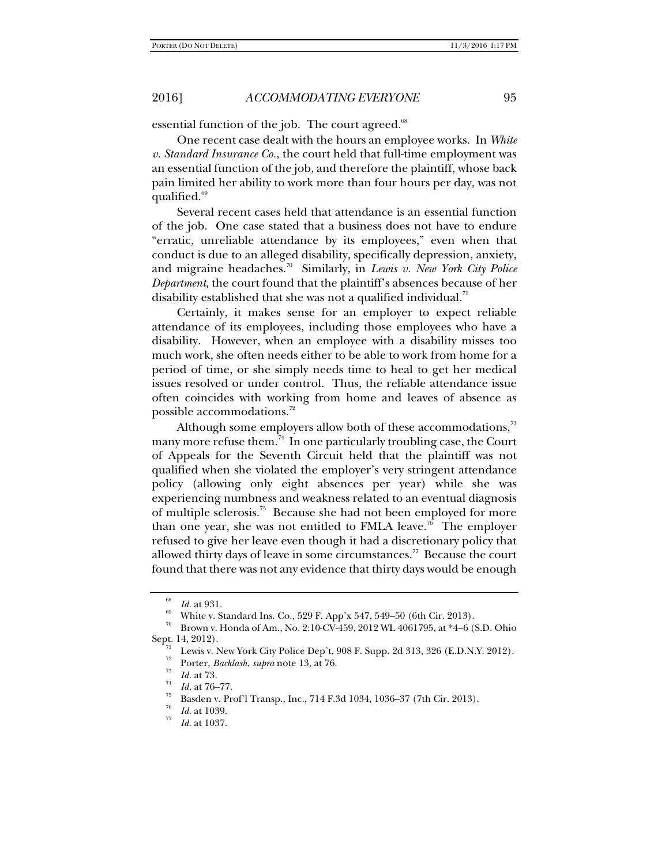essential function of the job. The court agreed.<sup>68</sup>

One recent case dealt with the hours an employee works. In *White v. Standard Insurance Co.*, the court held that full-time employment was an essential function of the job, and therefore the plaintiff, whose back pain limited her ability to work more than four hours per day, was not qualified. $69$ 

Several recent cases held that attendance is an essential function of the job. One case stated that a business does not have to endure "erratic, unreliable attendance by its employees," even when that conduct is due to an alleged disability, specifically depression, anxiety, and migraine headaches.70 Similarly, in *Lewis v. New York City Police Department*, the court found that the plaintiff's absences because of her disability established that she was not a qualified individual. $^{11}$ 

Certainly, it makes sense for an employer to expect reliable attendance of its employees, including those employees who have a disability. However, when an employee with a disability misses too much work, she often needs either to be able to work from home for a period of time, or she simply needs time to heal to get her medical issues resolved or under control. Thus, the reliable attendance issue often coincides with working from home and leaves of absence as possible accommodations.<sup>72</sup>

Although some employers allow both of these accommodations,<sup>73</sup> many more refuse them.<sup>74</sup> In one particularly troubling case, the Court of Appeals for the Seventh Circuit held that the plaintiff was not qualified when she violated the employer's very stringent attendance policy (allowing only eight absences per year) while she was experiencing numbness and weakness related to an eventual diagnosis of multiple sclerosis.75 Because she had not been employed for more than one year, she was not entitled to FMLA leave.<sup>76</sup> The employer refused to give her leave even though it had a discretionary policy that allowed thirty days of leave in some circumstances.<sup>77</sup> Because the court found that there was not any evidence that thirty days would be enough

<sup>68</sup>

<sup>&</sup>lt;sup>66</sup> *Id.* at 931.<br><sup>69</sup> White v. Standard Ins. Co., 529 F. App'x 547, 549–50 (6th Cir. 2013).

<sup>70</sup> Brown v. Honda of Am., No. 2:10-CV-459, 2012 WL 4061795, at \*4–6 (S.D. Ohio Sept. 14, 2012).<br>
Lewis v. New York City Police Dep't, 908 F. Supp. 2d 313, 326 (E.D.N.Y. 2012).

Porter, *Backlash*, *supra* note 13, at 76.<br>*Id.* at 73.

*Id.* at 76–77.<br>Basden v. Prof'l Transp., Inc., 714 F.3d 1034, 1036–37 (7th Cir. 2013).

 $\frac{76}{77}$  *Id.* at 1039.

*Id*. at 1037.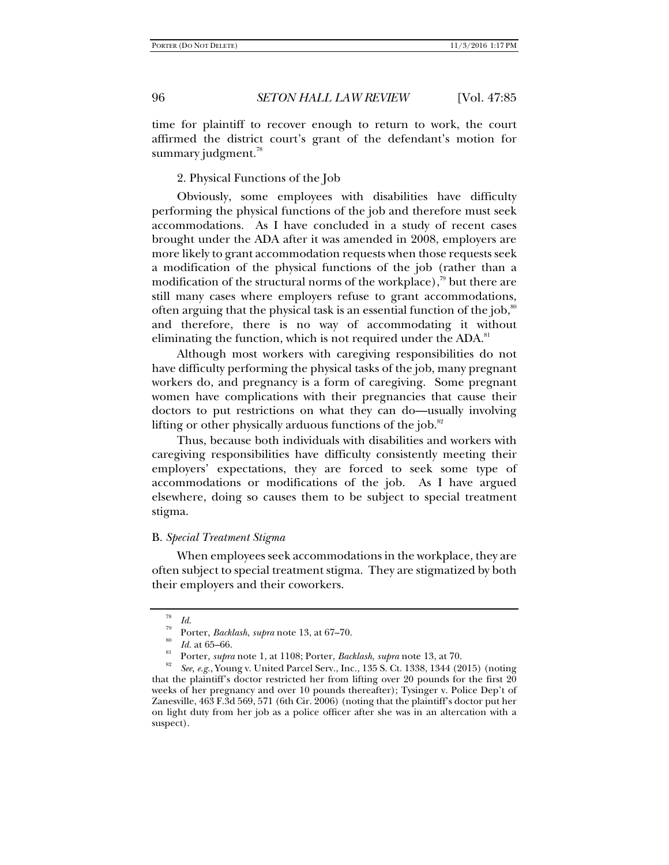time for plaintiff to recover enough to return to work, the court affirmed the district court's grant of the defendant's motion for summary judgment.<sup>78</sup>

2. Physical Functions of the Job

Obviously, some employees with disabilities have difficulty performing the physical functions of the job and therefore must seek accommodations. As I have concluded in a study of recent cases brought under the ADA after it was amended in 2008, employers are more likely to grant accommodation requests when those requests seek a modification of the physical functions of the job (rather than a modification of the structural norms of the workplace),<sup>79</sup> but there are still many cases where employers refuse to grant accommodations, often arguing that the physical task is an essential function of the job,  $\mu$ and therefore, there is no way of accommodating it without eliminating the function, which is not required under the ADA.<sup>81</sup>

Although most workers with caregiving responsibilities do not have difficulty performing the physical tasks of the job, many pregnant workers do, and pregnancy is a form of caregiving. Some pregnant women have complications with their pregnancies that cause their doctors to put restrictions on what they can do—usually involving lifting or other physically arduous functions of the job. $82$ 

Thus, because both individuals with disabilities and workers with caregiving responsibilities have difficulty consistently meeting their employers' expectations, they are forced to seek some type of accommodations or modifications of the job. As I have argued elsewhere, doing so causes them to be subject to special treatment stigma.

#### B. *Special Treatment Stigma*

When employees seek accommodations in the workplace, they are often subject to special treatment stigma. They are stigmatized by both their employers and their coworkers.

<sup>&</sup>lt;sup>78</sup> *Id.*<br><sup>79</sup> Porter, *Backlash*, *supra* note 13, at 67–70.<br><sup>80</sup> *Id.* at 65–66.<br><sup>81</sup> Porter, *supra* note 1, at 1108; Porter, *Backlash*, *supra* note 13, at 70.

*See, e.g.*, Young v. United Parcel Serv., Inc., 135 S. Ct. 1338, 1344 (2015) (noting that the plaintiff's doctor restricted her from lifting over 20 pounds for the first 20 weeks of her pregnancy and over 10 pounds thereafter); Tysinger v. Police Dep't of Zanesville, 463 F.3d 569, 571 (6th Cir. 2006) (noting that the plaintiff's doctor put her on light duty from her job as a police officer after she was in an altercation with a suspect).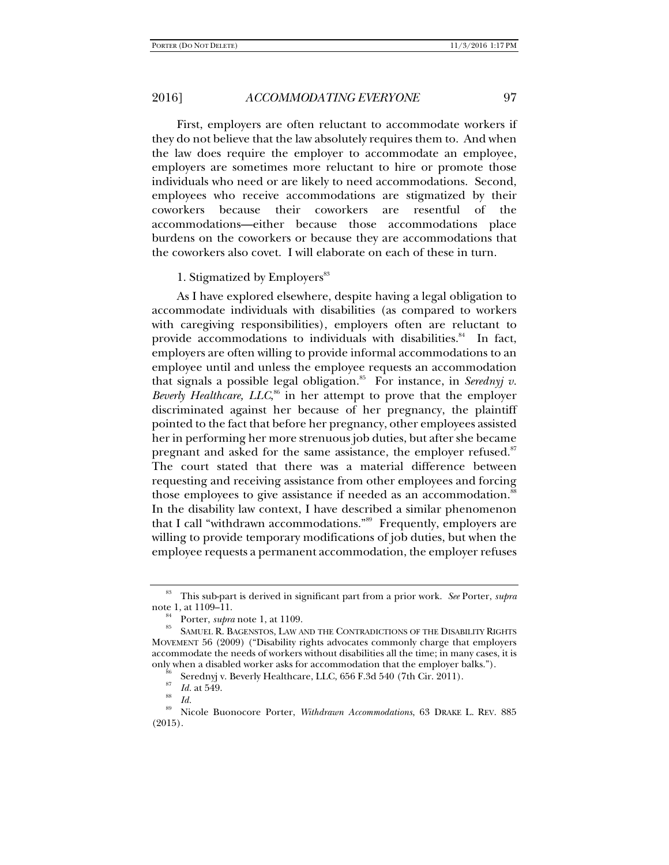First, employers are often reluctant to accommodate workers if they do not believe that the law absolutely requires them to. And when the law does require the employer to accommodate an employee, employers are sometimes more reluctant to hire or promote those individuals who need or are likely to need accommodations. Second, employees who receive accommodations are stigmatized by their coworkers because their coworkers are resentful of the accommodations—either because those accommodations place burdens on the coworkers or because they are accommodations that the coworkers also covet. I will elaborate on each of these in turn.

1. Stigmatized by Employers<sup>83</sup>

As I have explored elsewhere, despite having a legal obligation to accommodate individuals with disabilities (as compared to workers with caregiving responsibilities), employers often are reluctant to provide accommodations to individuals with disabilities. $84$  In fact, employers are often willing to provide informal accommodations to an employee until and unless the employee requests an accommodation that signals a possible legal obligation.<sup>85</sup> For instance, in *Serednyj v*. Beverly Healthcare, LLC,<sup>86</sup> in her attempt to prove that the employer discriminated against her because of her pregnancy, the plaintiff pointed to the fact that before her pregnancy, other employees assisted her in performing her more strenuous job duties, but after she became pregnant and asked for the same assistance, the employer refused.<sup>87</sup> The court stated that there was a material difference between requesting and receiving assistance from other employees and forcing those employees to give assistance if needed as an accommodation.<sup>8</sup> In the disability law context, I have described a similar phenomenon that I call "withdrawn accommodations."<sup>89</sup> Frequently, employers are willing to provide temporary modifications of job duties, but when the employee requests a permanent accommodation, the employer refuses

<sup>83</sup> This sub-part is derived in significant part from a prior work. *See* Porter, *supra*

<sup>&</sup>lt;sup>84</sup> Porter, *supra* note 1, at 1109. 85 SAMUEL R. BAGENSTOS, LAW AND THE CONTRADICTIONS OF THE DISABILITY RIGHTS MOVEMENT 56 (2009) ("Disability rights advocates commonly charge that employers accommodate the needs of workers without disabilities all the time; in many cases, it is only when a disabled worker asks for accommodation that the employer balks.").<br><sup>86</sup> Serednyj v. Beverly Healthcare, LLC, 656 F.3d 540 (7th Cir. 2011).

<sup>87</sup>

<sup>&</sup>lt;sup>81</sup> *Id.* at 549.<br><sup>88</sup> *Id.*<br><sup>89</sup> Nicole Buonocore Porter, *Withdrawn Accommodations*, 63 DRAKE L. REV. 885 (2015).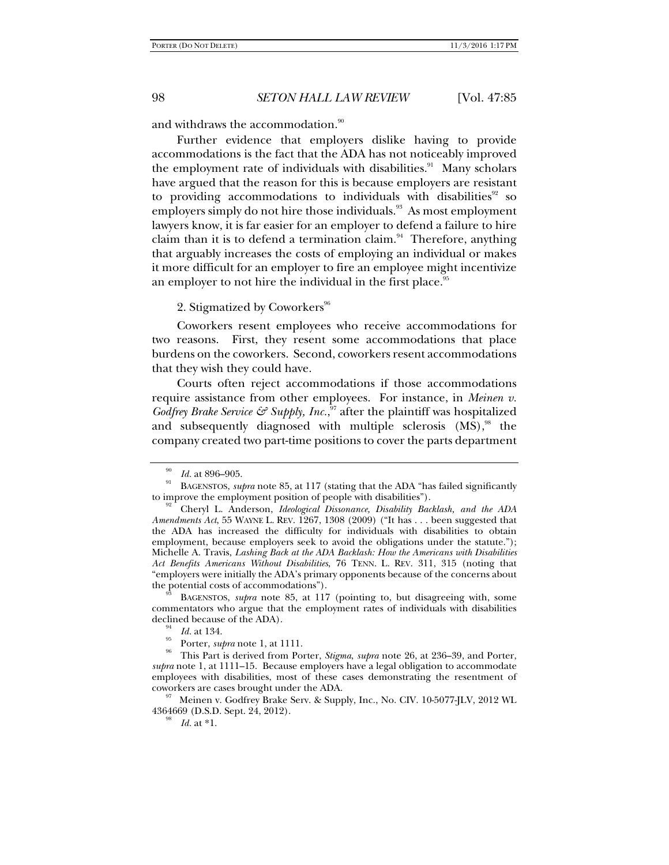and withdraws the accommodation.<sup>90</sup>

Further evidence that employers dislike having to provide accommodations is the fact that the ADA has not noticeably improved the employment rate of individuals with disabilities.<sup>91</sup> Many scholars have argued that the reason for this is because employers are resistant to providing accommodations to individuals with disabilities $92$  so employers simply do not hire those individuals.<sup>93</sup> As most employment lawyers know, it is far easier for an employer to defend a failure to hire claim than it is to defend a termination claim. $94$  Therefore, anything that arguably increases the costs of employing an individual or makes it more difficult for an employer to fire an employee might incentivize an employer to not hire the individual in the first place.<sup>95</sup>

### 2. Stigmatized by Coworkers<sup>96</sup>

Coworkers resent employees who receive accommodations for two reasons. First, they resent some accommodations that place burdens on the coworkers. Second, coworkers resent accommodations that they wish they could have.

Courts often reject accommodations if those accommodations require assistance from other employees. For instance, in *Meinen v.*  Godfrey Brake Service & Supply, Inc.,<sup>97</sup> after the plaintiff was hospitalized and subsequently diagnosed with multiple sclerosis  $(MS)$ ,<sup>98</sup> the company created two part-time positions to cover the parts department

commentators who argue that the employment rates of individuals with disabilities

<sup>90</sup>

*Id.* at 896–905.<br>BAGENSTOS, *supra* note 85, at 117 (stating that the ADA "has failed significantly

to improve the employment position of people with disabilities"). 92 Cheryl L. Anderson, *Ideological Dissonance, Disability Backlash, and the ADA Amendments Act*, 55 WAYNE L. REV. 1267, 1308 (2009) ("It has . . . been suggested that the ADA has increased the difficulty for individuals with disabilities to obtain employment, because employers seek to avoid the obligations under the statute."); Michelle A. Travis, *Lashing Back at the ADA Backlash: How the Americans with Disabilities Act Benefits Americans Without Disabilities*, 76 TENN. L. REV. 311, 315 (noting that "employers were initially the ADA's primary opponents because of the concerns about the potential costs of accommodations").<br><sup>93</sup> BAGENSTOS, *supra* note 85, at 117 (pointing to, but disagreeing with, some

<sup>&</sup>lt;sup>94</sup> *Id.* at 134.<br><sup>95</sup> Porter, *supra* note 1, at 1111.<br><sup>96</sup> This Part is derived from Porter, *Stigma*, *supra* note 26, at 236–39, and Porter, *supra* note 1, at 1111–15. Because employers have a legal obligation to accommodate employees with disabilities, most of these cases demonstrating the resentment of

coworkers are cases brought under the ADA. 97 Meinen v. Godfrey Brake Serv. & Supply, Inc., No. CIV. 10-5077-JLV, 2012 WL 4364669 (D.S.D. Sept. 24, 2012).

*Id.* at \*1.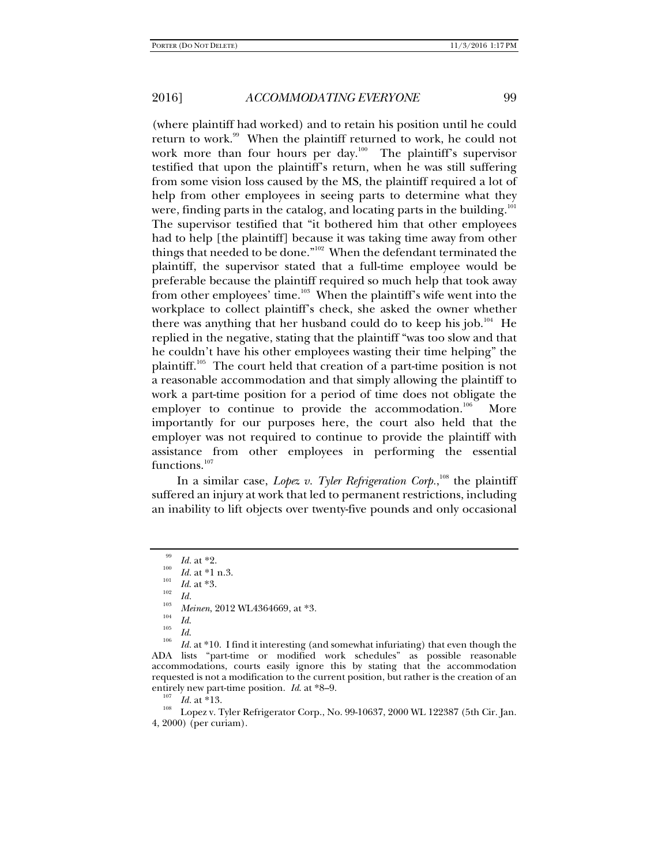(where plaintiff had worked) and to retain his position until he could return to work.<sup>99</sup> When the plaintiff returned to work, he could not work more than four hours per day.<sup>100</sup> The plaintiff's supervisor testified that upon the plaintiff's return, when he was still suffering from some vision loss caused by the MS, the plaintiff required a lot of help from other employees in seeing parts to determine what they were, finding parts in the catalog, and locating parts in the building.<sup>101</sup> The supervisor testified that "it bothered him that other employees had to help [the plaintiff] because it was taking time away from other things that needed to be done."<sup>102</sup> When the defendant terminated the plaintiff, the supervisor stated that a full-time employee would be preferable because the plaintiff required so much help that took away from other employees' time.<sup>103</sup> When the plaintiff's wife went into the workplace to collect plaintiff's check, she asked the owner whether there was anything that her husband could do to keep his job.<sup>104</sup> He replied in the negative, stating that the plaintiff "was too slow and that he couldn't have his other employees wasting their time helping" the plaintiff.105 The court held that creation of a part-time position is not a reasonable accommodation and that simply allowing the plaintiff to work a part-time position for a period of time does not obligate the employer to continue to provide the accommodation.<sup>106</sup> More importantly for our purposes here, the court also held that the employer was not required to continue to provide the plaintiff with assistance from other employees in performing the essential functions.<sup>107</sup>

In a similar case, *Lopez v. Tyler Refrigeration Corp.*,<sup>108</sup> the plaintiff suffered an injury at work that led to permanent restrictions, including an inability to lift objects over twenty-five pounds and only occasional

 $\frac{99}{100}$  *Id.* at \*2.

 $I_{101}$  *Id.* at \*1 n.3.<br>  $I_{102}$  *Id.* at \*3.<br> *Id.* 

<sup>&</sup>lt;sup>103</sup> Meinen, 2012 WL4364669, at \*3.<br><sup>104</sup> Id.<br>*Id.* 

<sup>&</sup>lt;sup>106</sup> *Id.* at \*10. I find it interesting (and somewhat infuriating) that even though the ADA lists "part-time or modified work schedules" as possible reasonable accommodations, courts easily ignore this by stating that the accommodation requested is not a modification to the current position, but rather is the creation of an

entirely new part-time position. *Id.* at \*8–9.<br><sup>107</sup> *Id.* at \*13. Lopez v. Tyler Refrigerator Corp., No. 99-10637, 2000 WL 122387 (5th Cir. Jan. 4, 2000) (per curiam).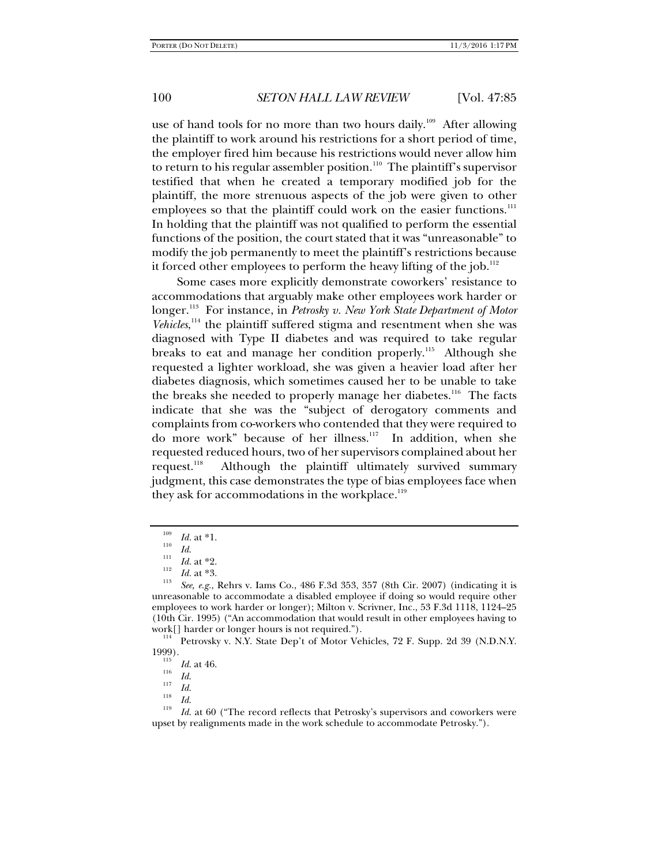use of hand tools for no more than two hours daily.<sup>109</sup> After allowing the plaintiff to work around his restrictions for a short period of time, the employer fired him because his restrictions would never allow him to return to his regular assembler position.<sup>110</sup> The plaintiff's supervisor testified that when he created a temporary modified job for the plaintiff, the more strenuous aspects of the job were given to other employees so that the plaintiff could work on the easier functions.<sup>111</sup> In holding that the plaintiff was not qualified to perform the essential functions of the position, the court stated that it was "unreasonable" to modify the job permanently to meet the plaintiff's restrictions because it forced other employees to perform the heavy lifting of the job.<sup>112</sup>

Some cases more explicitly demonstrate coworkers' resistance to accommodations that arguably make other employees work harder or longer.<sup>113</sup> For instance, in *Petrosky v. New York State Department of Motor* Vehicles,<sup>114</sup> the plaintiff suffered stigma and resentment when she was diagnosed with Type II diabetes and was required to take regular breaks to eat and manage her condition properly.<sup>115</sup> Although she requested a lighter workload, she was given a heavier load after her diabetes diagnosis, which sometimes caused her to be unable to take the breaks she needed to properly manage her diabetes.<sup>116</sup> The facts indicate that she was the "subject of derogatory comments and complaints from co-workers who contended that they were required to do more work" because of her illness.<sup>117</sup> In addition, when she requested reduced hours, two of her supervisors complained about her request.<sup>118</sup> Although the plaintiff ultimately survived summary judgment, this case demonstrates the type of bias employees face when they ask for accommodations in the workplace.<sup>119</sup>

<sup>114</sup> Petrovsky v. N.Y. State Dep't of Motor Vehicles, 72 F. Supp. 2d 39 (N.D.N.Y. 1999).

 $\frac{109}{110}$  *Id.* at \*1.

 $\frac{Id}{111}$  *Id.* at \*2.

*Id.* at \*2. 112 *Id.* at \*3. 113 *See, e.g.*, Rehrs v. Iams Co., 486 F.3d 353, 357 (8th Cir. 2007) (indicating it is unreasonable to accommodate a disabled employee if doing so would require other employees to work harder or longer); Milton v. Scrivner, Inc., 53 F.3d 1118, 1124–25 (10th Cir. 1995) ("An accommodation that would result in other employees having to

<sup>&</sup>lt;sup>115</sup> *Id.* at 46.<br><sup>116</sup> *Id.* 117

 $\frac{117}{118}$  *Id.*  $\frac{118}{119}$  *Id.* 

*Id.* at 60 ("The record reflects that Petrosky's supervisors and coworkers were upset by realignments made in the work schedule to accommodate Petrosky.").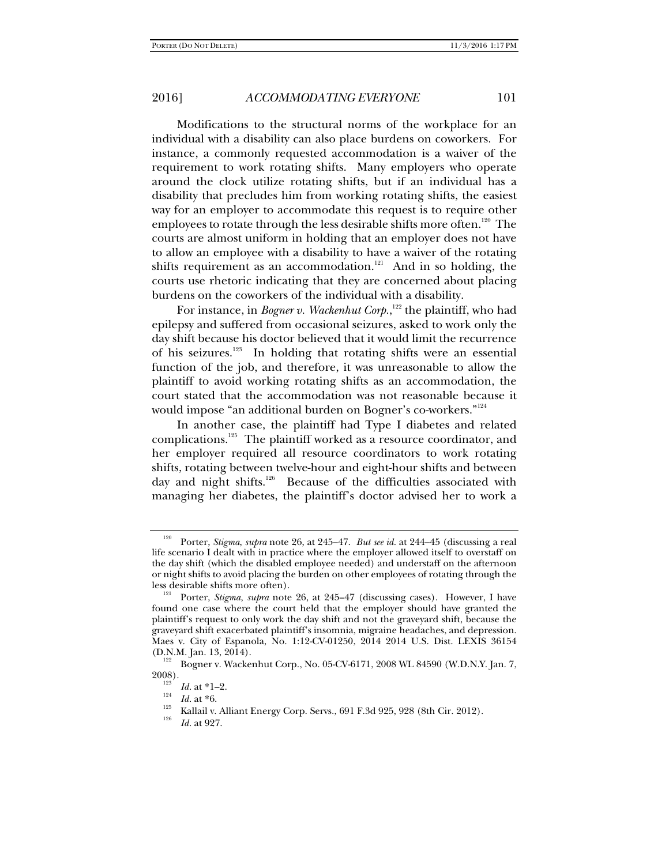Modifications to the structural norms of the workplace for an individual with a disability can also place burdens on coworkers. For instance, a commonly requested accommodation is a waiver of the requirement to work rotating shifts. Many employers who operate around the clock utilize rotating shifts, but if an individual has a disability that precludes him from working rotating shifts, the easiest way for an employer to accommodate this request is to require other employees to rotate through the less desirable shifts more often.<sup>120</sup> The courts are almost uniform in holding that an employer does not have to allow an employee with a disability to have a waiver of the rotating shifts requirement as an accommodation.<sup>121</sup> And in so holding, the courts use rhetoric indicating that they are concerned about placing burdens on the coworkers of the individual with a disability.

For instance, in *Bogner v. Wackenhut Corp*.,<sup>122</sup> the plaintiff, who had epilepsy and suffered from occasional seizures, asked to work only the day shift because his doctor believed that it would limit the recurrence of his seizures.<sup>123</sup> In holding that rotating shifts were an essential function of the job, and therefore, it was unreasonable to allow the plaintiff to avoid working rotating shifts as an accommodation, the court stated that the accommodation was not reasonable because it would impose "an additional burden on Bogner's co-workers."<sup>124</sup>

In another case, the plaintiff had Type I diabetes and related complications.125 The plaintiff worked as a resource coordinator, and her employer required all resource coordinators to work rotating shifts, rotating between twelve-hour and eight-hour shifts and between day and night shifts.<sup>126</sup> Because of the difficulties associated with managing her diabetes, the plaintiff's doctor advised her to work a

<sup>120</sup> Porter, *Stigma*, *supra* note 26, at 245–47. *But see id.* at 244–45 (discussing a real life scenario I dealt with in practice where the employer allowed itself to overstaff on the day shift (which the disabled employee needed) and understaff on the afternoon or night shifts to avoid placing the burden on other employees of rotating through the less desirable shifts more often). 121 Porter, *Stigma*, *supra* note 26, at 245–47 (discussing cases). However, I have

found one case where the court held that the employer should have granted the plaintiff's request to only work the day shift and not the graveyard shift, because the graveyard shift exacerbated plaintiff's insomnia, migraine headaches, and depression. Maes v. City of Espanola, No. 1:12-CV-01250, 2014 2014 U.S. Dist. LEXIS 36154

 $\frac{122}{2008}$  Bogner v. Wackenhut Corp., No. 05-CV-6171, 2008 WL 84590 (W.D.N.Y. Jan. 7, 2008).

<sup>&</sup>lt;sup>123</sup> *Id.* at \*1–2.<br> *Id.* at \*6.

<sup>&</sup>lt;sup>125</sup> Kallail v. Alliant Energy Corp. Servs., 691 F.3d 925, 928 (8th Cir. 2012).

*Id.* at 927.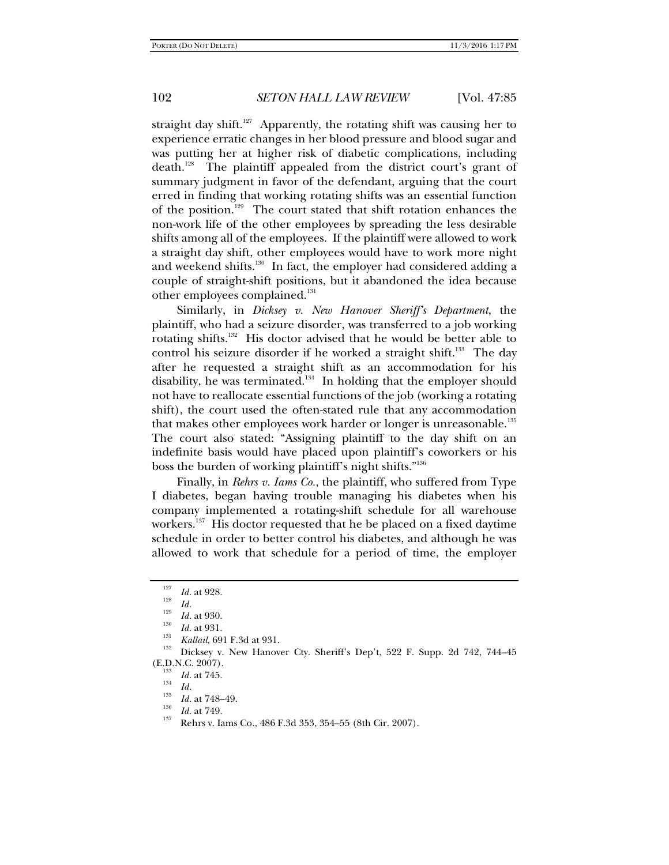straight day shift.<sup>127</sup> Apparently, the rotating shift was causing her to experience erratic changes in her blood pressure and blood sugar and was putting her at higher risk of diabetic complications, including death.<sup>128</sup> The plaintiff appealed from the district court's grant of summary judgment in favor of the defendant, arguing that the court erred in finding that working rotating shifts was an essential function of the position.<sup>129</sup> The court stated that shift rotation enhances the non-work life of the other employees by spreading the less desirable shifts among all of the employees. If the plaintiff were allowed to work a straight day shift, other employees would have to work more night and weekend shifts.<sup>130</sup> In fact, the employer had considered adding a couple of straight-shift positions, but it abandoned the idea because other employees complained.<sup>131</sup>

Similarly, in *Dicksey v. New Hanover Sheriff's Department*, the plaintiff, who had a seizure disorder, was transferred to a job working rotating shifts.132 His doctor advised that he would be better able to control his seizure disorder if he worked a straight shift.<sup>133</sup> The day after he requested a straight shift as an accommodation for his disability, he was terminated.<sup>134</sup> In holding that the employer should not have to reallocate essential functions of the job (working a rotating shift), the court used the often-stated rule that any accommodation that makes other employees work harder or longer is unreasonable.<sup>135</sup> The court also stated: "Assigning plaintiff to the day shift on an indefinite basis would have placed upon plaintiff's coworkers or his boss the burden of working plaintiff's night shifts."136

Finally, in *Rehrs v. Iams Co.*, the plaintiff, who suffered from Type I diabetes, began having trouble managing his diabetes when his company implemented a rotating-shift schedule for all warehouse workers.<sup>137</sup> His doctor requested that he be placed on a fixed daytime schedule in order to better control his diabetes, and although he was allowed to work that schedule for a period of time, the employer

 $\frac{127}{128}$  *Id.* at 928.

 $\frac{Id}{129}$  *Id.* at 930.

<sup>&</sup>lt;sup>130</sup> *Id.* at 931.<br><sup>131</sup> *Kallail*, 691 F.3d at 931.<br><sup>132</sup> Dicksey v. New Hanover Cty. Sheriff's Dep't, 522 F. Supp. 2d 742, 744–45 (E.D.N.C. 2007).

<sup>&</sup>lt;sup>133</sup> *Id.* at 745.<br><sup>134</sup> *Id.*<br><sup>135</sup> *Id.* at 748–49.

<sup>&</sup>lt;sup>136</sup> *Id.* at 749.<br><sup>137</sup> Rehrs v. Iams Co., 486 F.3d 353, 354–55 (8th Cir. 2007).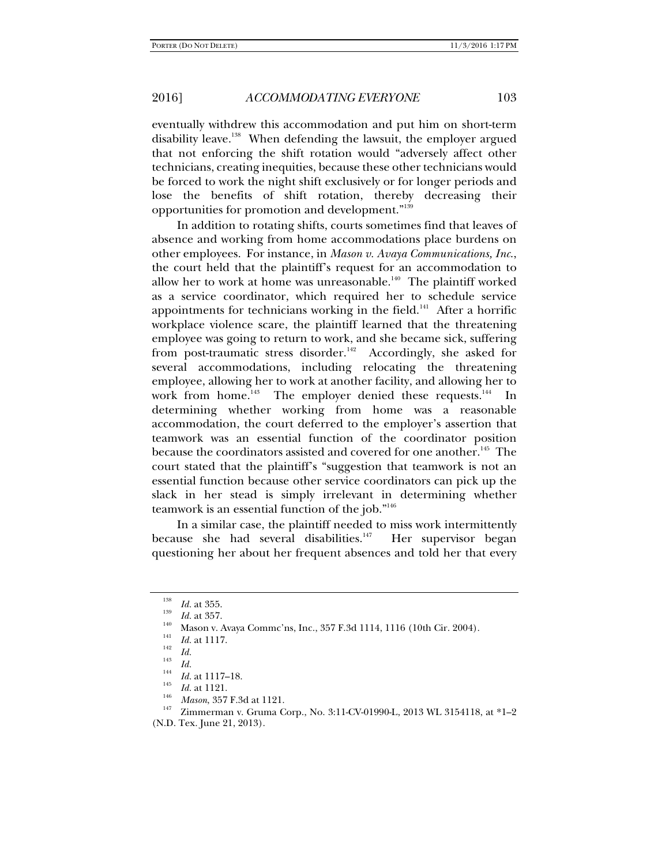eventually withdrew this accommodation and put him on short-term disability leave.<sup>138</sup> When defending the lawsuit, the employer argued that not enforcing the shift rotation would "adversely affect other technicians, creating inequities, because these other technicians would be forced to work the night shift exclusively or for longer periods and lose the benefits of shift rotation, thereby decreasing their opportunities for promotion and development."<sup>139</sup>

In addition to rotating shifts, courts sometimes find that leaves of absence and working from home accommodations place burdens on other employees. For instance, in *Mason v. Avaya Communications, Inc*., the court held that the plaintiff's request for an accommodation to allow her to work at home was unreasonable.<sup>140</sup> The plaintiff worked as a service coordinator, which required her to schedule service appointments for technicians working in the field.<sup>141</sup> After a horrific workplace violence scare, the plaintiff learned that the threatening employee was going to return to work, and she became sick, suffering from post-traumatic stress disorder.<sup>142</sup> Accordingly, she asked for several accommodations, including relocating the threatening employee, allowing her to work at another facility, and allowing her to work from home.<sup>143</sup> The employer denied these requests.<sup>144</sup> In determining whether working from home was a reasonable accommodation, the court deferred to the employer's assertion that teamwork was an essential function of the coordinator position because the coordinators assisted and covered for one another.<sup>145</sup> The court stated that the plaintiff's "suggestion that teamwork is not an essential function because other service coordinators can pick up the slack in her stead is simply irrelevant in determining whether teamwork is an essential function of the job."146

In a similar case, the plaintiff needed to miss work intermittently because she had several disabilities. $147$  Her supervisor began questioning her about her frequent absences and told her that every

<sup>138</sup>  $\frac{138}{139}$  *Id.* at 355.

<sup>&</sup>lt;sup>140</sup> Mason v. Avaya Commc'ns, Inc., 357 F.3d 1114, 1116 (10th Cir. 2004).<br><sup>141</sup> *Id.* at 1117.<br>*Id. Id. Id.* 

<sup>&</sup>lt;sup>143</sup> *Id. Id.* at 1117–18.<br><sup>145</sup> *Id.* at 1121.

*I<sup>146</sup> Mason*, 357 F.3d at 1121.<br><sup>147</sup> Zimmerman v. Gruma Corp., No. 3:11-CV-01990-L, 2013 WL 3154118, at \*1–2

<sup>(</sup>N.D. Tex. June 21, 2013).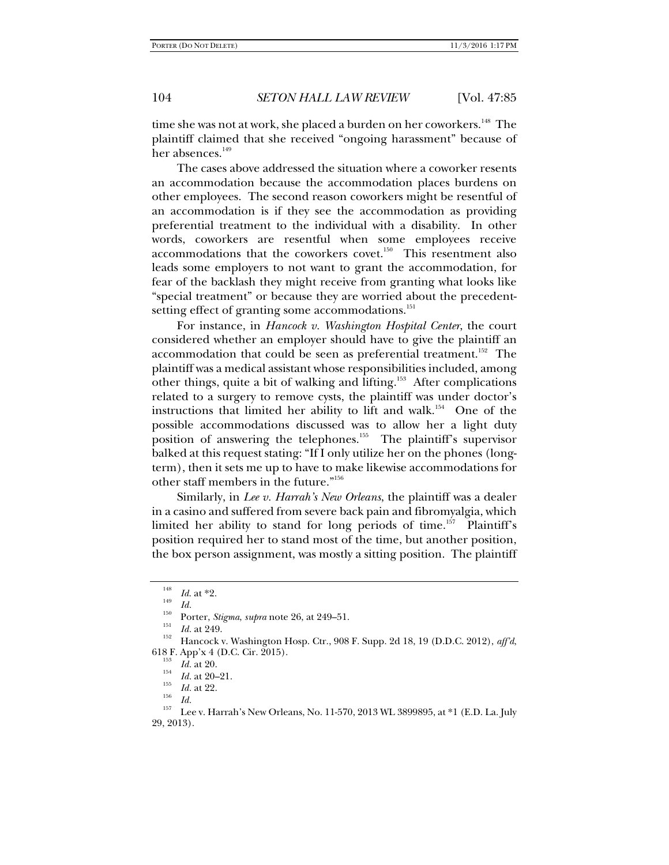time she was not at work, she placed a burden on her coworkers.<sup>148</sup> The plaintiff claimed that she received "ongoing harassment" because of her absences.<sup>149</sup>

The cases above addressed the situation where a coworker resents an accommodation because the accommodation places burdens on other employees. The second reason coworkers might be resentful of an accommodation is if they see the accommodation as providing preferential treatment to the individual with a disability. In other words, coworkers are resentful when some employees receive accommodations that the coworkers covet.<sup>150</sup> This resentment also leads some employers to not want to grant the accommodation, for fear of the backlash they might receive from granting what looks like "special treatment" or because they are worried about the precedentsetting effect of granting some accommodations.<sup>151</sup>

For instance, in *Hancock v. Washington Hospital Center*, the court considered whether an employer should have to give the plaintiff an accommodation that could be seen as preferential treatment.<sup>152</sup> The plaintiff was a medical assistant whose responsibilities included, among other things, quite a bit of walking and lifting.153 After complications related to a surgery to remove cysts, the plaintiff was under doctor's instructions that limited her ability to lift and walk.<sup>154</sup> One of the possible accommodations discussed was to allow her a light duty position of answering the telephones.<sup>155</sup> The plaintiff's supervisor balked at this request stating: "If I only utilize her on the phones (longterm), then it sets me up to have to make likewise accommodations for other staff members in the future."156

Similarly, in *Lee v. Harrah's New Orleans*, the plaintiff was a dealer in a casino and suffered from severe back pain and fibromyalgia, which limited her ability to stand for long periods of time.<sup>157</sup> Plaintiff's position required her to stand most of the time, but another position, the box person assignment, was mostly a sitting position. The plaintiff

<sup>148</sup>

<sup>&</sup>lt;sup>148</sup> *Id.* at \*2.<br>
<sup>149</sup> *Id.*<br>
Porter, *Stigma*, *supra* note 26, at 249–51.<br> *Id.* at 249.

<sup>&</sup>lt;sup>152</sup> Hancock v. Washington Hosp. Ctr., 908 F. Supp. 2d 18, 19 (D.D.C. 2012), *aff'd*, 618 F. App'x 4 (D.C. Cir. 2015).<br>
<sup>153</sup> *Id.* at 20.<br>
<sup>154</sup> *Id.* at 20–21.<br>
<sup>155</sup> *Id.* at 22.

<sup>&</sup>lt;sup>156</sup> *Id.* <br><sup>157</sup> Lee v. Harrah's New Orleans, No. 11-570, 2013 WL 3899895, at \*1 (E.D. La. July 29, 2013).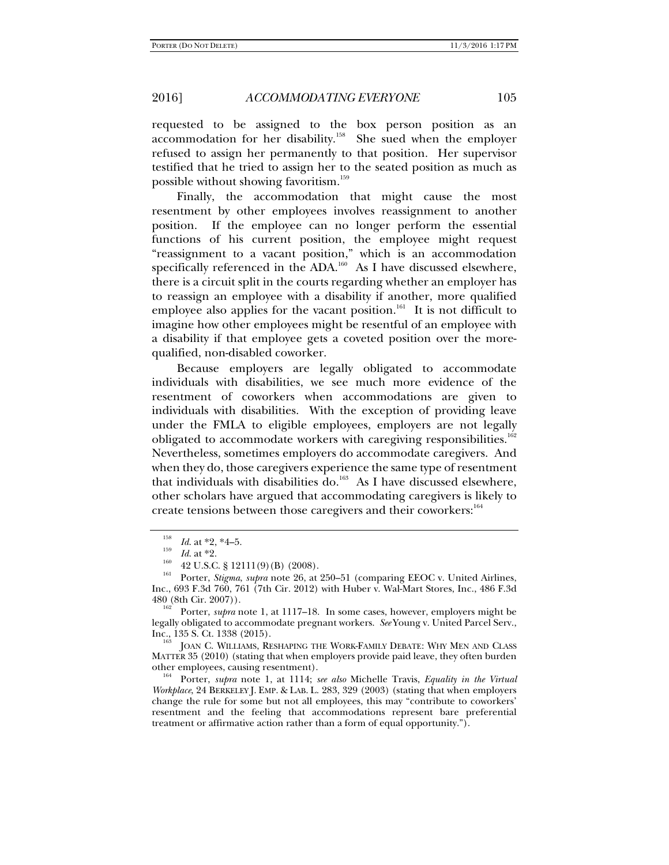requested to be assigned to the box person position as an accommodation for her disability.<sup>158</sup> She sued when the employer refused to assign her permanently to that position. Her supervisor testified that he tried to assign her to the seated position as much as possible without showing favoritism.<sup>159</sup>

Finally, the accommodation that might cause the most resentment by other employees involves reassignment to another position. If the employee can no longer perform the essential functions of his current position, the employee might request "reassignment to a vacant position," which is an accommodation specifically referenced in the ADA.<sup>160</sup> As I have discussed elsewhere, there is a circuit split in the courts regarding whether an employer has to reassign an employee with a disability if another, more qualified employee also applies for the vacant position.<sup>161</sup> It is not difficult to imagine how other employees might be resentful of an employee with a disability if that employee gets a coveted position over the morequalified, non-disabled coworker.

Because employers are legally obligated to accommodate individuals with disabilities, we see much more evidence of the resentment of coworkers when accommodations are given to individuals with disabilities. With the exception of providing leave under the FMLA to eligible employees, employers are not legally obligated to accommodate workers with caregiving responsibilities.<sup>162</sup> Nevertheless, sometimes employers do accommodate caregivers. And when they do, those caregivers experience the same type of resentment that individuals with disabilities do.<sup>163</sup> As I have discussed elsewhere, other scholars have argued that accommodating caregivers is likely to create tensions between those caregivers and their coworkers:<sup>164</sup>

<sup>158</sup>

<sup>&</sup>lt;sup>158</sup> *Id.* at \*2, \*4–5.<br>
<sup>159</sup> *Id.* at \*2.<br>
<sup>160</sup> 42 U.S.C. § 12111(9)(B) (2008).<br>
Porter, *Stigma*, *supra* note 26, at 250–51 (comparing EEOC v. United Airlines, Inc., 693 F.3d 760, 761 (7th Cir. 2012) with Huber v. Wal-Mart Stores, Inc., 486 F.3d

Porter, *supra* note 1, at 1117–18. In some cases, however, employers might be legally obligated to accommodate pregnant workers. *See* Young v. United Parcel Serv., Inc., 135 S. Ct. 1338 (2015).<br><sup>163</sup> JOAN C. WILLIAMS, RESHAPING THE WORK-FAMILY DEBATE: WHY MEN AND CLASS

MATTER 35 (2010) (stating that when employers provide paid leave, they often burden other employees, causing resentment). 164 Porter, *supra* note 1, at 1114; *see also* Michelle Travis, *Equality in the Virtual* 

*Workplace*, 24 BERKELEY J. EMP. & LAB. L. 283, 329 (2003) (stating that when employers change the rule for some but not all employees, this may "contribute to coworkers' resentment and the feeling that accommodations represent bare preferential treatment or affirmative action rather than a form of equal opportunity.").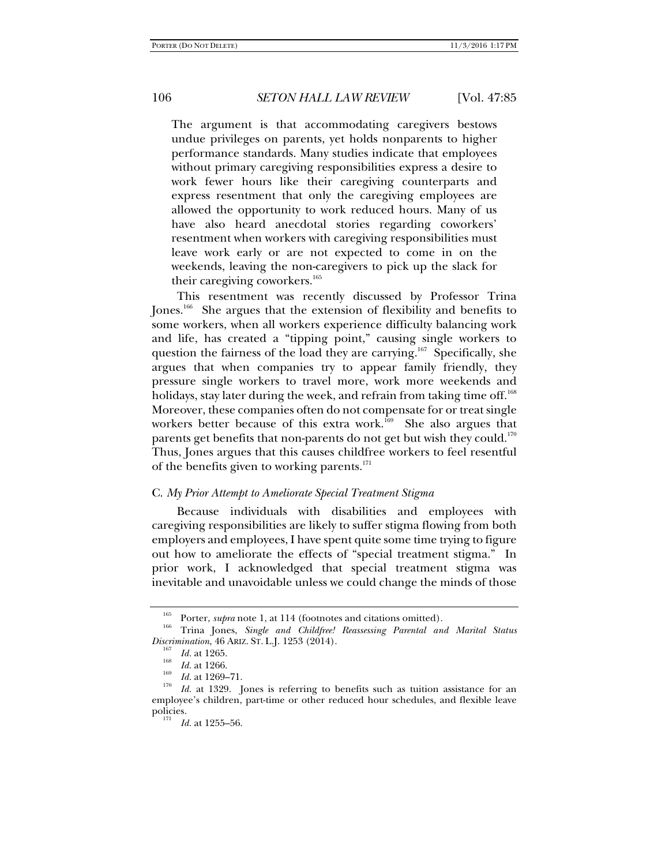The argument is that accommodating caregivers bestows undue privileges on parents, yet holds nonparents to higher performance standards. Many studies indicate that employees without primary caregiving responsibilities express a desire to work fewer hours like their caregiving counterparts and express resentment that only the caregiving employees are allowed the opportunity to work reduced hours. Many of us have also heard anecdotal stories regarding coworkers' resentment when workers with caregiving responsibilities must leave work early or are not expected to come in on the weekends, leaving the non-caregivers to pick up the slack for their caregiving coworkers.<sup>165</sup>

This resentment was recently discussed by Professor Trina Jones.166 She argues that the extension of flexibility and benefits to some workers, when all workers experience difficulty balancing work and life, has created a "tipping point," causing single workers to question the fairness of the load they are carrying.<sup>167</sup> Specifically, she argues that when companies try to appear family friendly, they pressure single workers to travel more, work more weekends and holidays, stay later during the week, and refrain from taking time off.<sup>168</sup> Moreover, these companies often do not compensate for or treat single workers better because of this extra work.<sup>169</sup> She also argues that parents get benefits that non-parents do not get but wish they could.<sup>170</sup> Thus, Jones argues that this causes childfree workers to feel resentful of the benefits given to working parents.<sup>171</sup>

### C. *My Prior Attempt to Ameliorate Special Treatment Stigma*

Because individuals with disabilities and employees with caregiving responsibilities are likely to suffer stigma flowing from both employers and employees, I have spent quite some time trying to figure out how to ameliorate the effects of "special treatment stigma." In prior work, I acknowledged that special treatment stigma was inevitable and unavoidable unless we could change the minds of those

<sup>165</sup> Porter, *supra* note 1, at 114 (footnotes and citations omitted).<br>166 Trina Jones, *Single and Childfree! Reassessing Parental and Marital Status Discrimination*, 46 ARIZ. ST. L.J. 1253 (2014).

 $\frac{167}{168}$  *Id.* at 1265.<br>*Id.* at 1266.

<sup>&</sup>lt;sup>169</sup> *Id.* at 1269–71.<br><sup>170</sup> *Id.* at 1329. Jones is referring to benefits such as tuition assistance for an employee's children, part-time or other reduced hour schedules, and flexible leave policies.

<sup>&</sup>lt;sup>171</sup> *Id.* at 1255–56.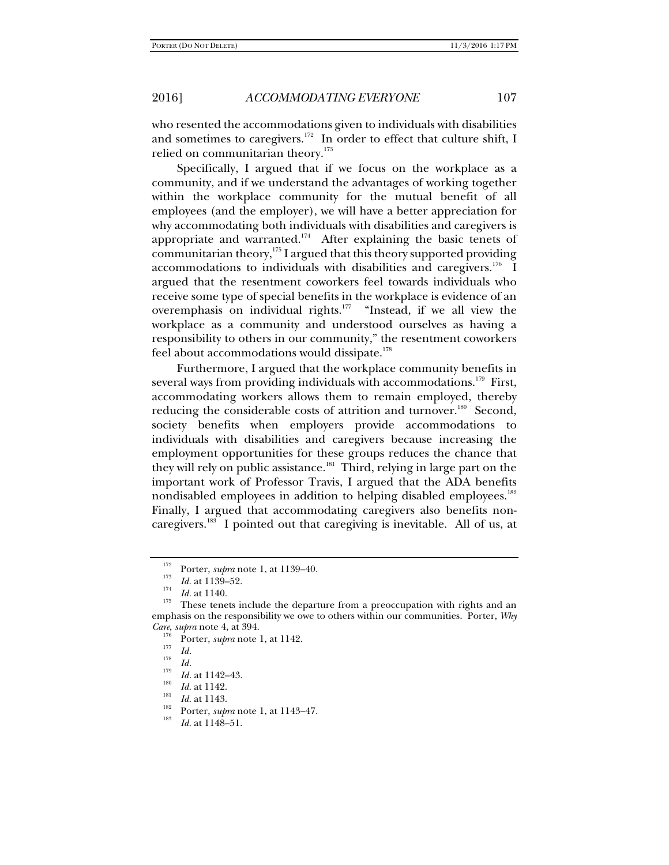who resented the accommodations given to individuals with disabilities and sometimes to caregivers.<sup>172</sup> In order to effect that culture shift, I relied on communitarian theory.<sup>173</sup>

Specifically, I argued that if we focus on the workplace as a community, and if we understand the advantages of working together within the workplace community for the mutual benefit of all employees (and the employer), we will have a better appreciation for why accommodating both individuals with disabilities and caregivers is appropriate and warranted.<sup>174</sup> After explaining the basic tenets of communitarian theory, $^{175}$  I argued that this theory supported providing accommodations to individuals with disabilities and caregivers.<sup>176</sup> I argued that the resentment coworkers feel towards individuals who receive some type of special benefits in the workplace is evidence of an overemphasis on individual rights.<sup>177</sup> "Instead, if we all view the workplace as a community and understood ourselves as having a responsibility to others in our community," the resentment coworkers feel about accommodations would dissipate.<sup>178</sup>

Furthermore, I argued that the workplace community benefits in several ways from providing individuals with accommodations.<sup>179</sup> First, accommodating workers allows them to remain employed, thereby reducing the considerable costs of attrition and turnover.<sup>180</sup> Second, society benefits when employers provide accommodations to individuals with disabilities and caregivers because increasing the employment opportunities for these groups reduces the chance that they will rely on public assistance.<sup>181</sup> Third, relying in large part on the important work of Professor Travis, I argued that the ADA benefits nondisabled employees in addition to helping disabled employees.<sup>182</sup> Finally, I argued that accommodating caregivers also benefits noncaregivers.<sup>183</sup> I pointed out that caregiving is inevitable. All of us, at

<sup>&</sup>lt;sup>172</sup> Porter, *supra* note 1, at 1139–40.

<sup>&</sup>lt;sup>173</sup> *Id.* at 1139–52.<br> *Id.* at 1140.

<sup>&</sup>lt;sup>175</sup> These tenets include the departure from a preoccupation with rights and an emphasis on the responsibility we owe to others within our communities. Porter, *Why* 

*Care, supra* note 4, at 394.<br><sup>176</sup> Porter, *supra* note 1, at 1142.<br><sup>178</sup> *Id. Id.* 179

<sup>&</sup>lt;sup>179</sup> *Id.* at 1142–43.<br><sup>180</sup> *Id.* at 1142.<br>*Id.* at 1143.

<sup>&</sup>lt;sup>182</sup> Porter, *supra* note 1, at 1143–47.

*Id*. at 1148–51.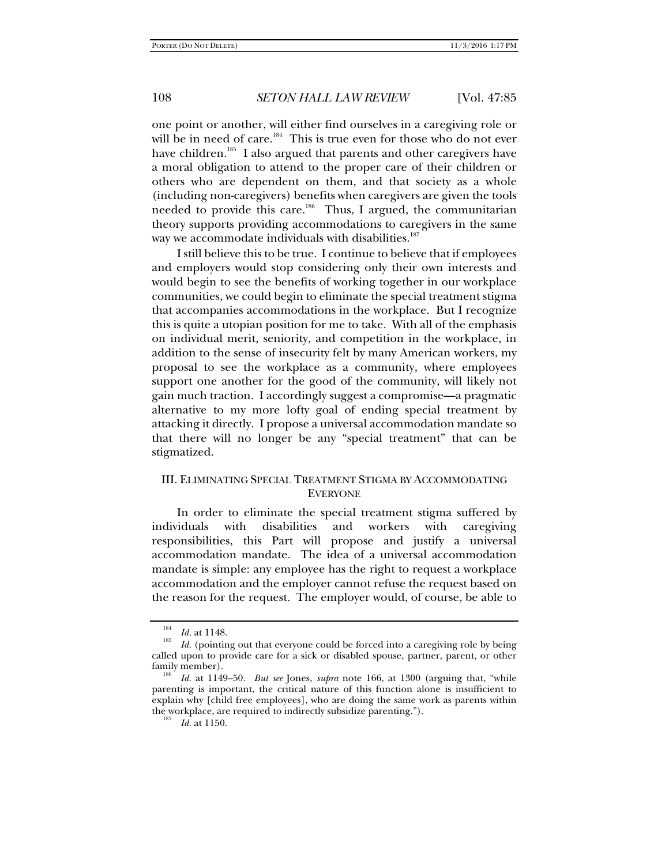one point or another, will either find ourselves in a caregiving role or will be in need of care.<sup>184</sup> This is true even for those who do not ever have children.<sup>185</sup> I also argued that parents and other caregivers have a moral obligation to attend to the proper care of their children or others who are dependent on them, and that society as a whole (including non-caregivers) benefits when caregivers are given the tools needed to provide this care.<sup>186</sup> Thus, I argued, the communitarian theory supports providing accommodations to caregivers in the same way we accommodate individuals with disabilities.<sup>187</sup>

I still believe this to be true. I continue to believe that if employees and employers would stop considering only their own interests and would begin to see the benefits of working together in our workplace communities, we could begin to eliminate the special treatment stigma that accompanies accommodations in the workplace. But I recognize this is quite a utopian position for me to take. With all of the emphasis on individual merit, seniority, and competition in the workplace, in addition to the sense of insecurity felt by many American workers, my proposal to see the workplace as a community, where employees support one another for the good of the community, will likely not gain much traction. I accordingly suggest a compromise—a pragmatic alternative to my more lofty goal of ending special treatment by attacking it directly. I propose a universal accommodation mandate so that there will no longer be any "special treatment" that can be stigmatized.

# III. ELIMINATING SPECIAL TREATMENT STIGMA BY ACCOMMODATING **EVERYONE**

In order to eliminate the special treatment stigma suffered by individuals with disabilities and workers with caregiving responsibilities, this Part will propose and justify a universal accommodation mandate. The idea of a universal accommodation mandate is simple: any employee has the right to request a workplace accommodation and the employer cannot refuse the request based on the reason for the request. The employer would, of course, be able to

<sup>184</sup>

<sup>&</sup>lt;sup>184</sup> *Id.* at 1148.<br><sup>185</sup> *Id.* (pointing out that everyone could be forced into a caregiving role by being called upon to provide care for a sick or disabled spouse, partner, parent, or other family member).

*Id*. at 1149–50. *But see* Jones, *supra* note 166, at 1300 (arguing that, "while parenting is important, the critical nature of this function alone is insufficient to explain why [child free employees], who are doing the same work as parents within the workplace, are required to indirectly subsidize parenting.").

*Id*. at 1150.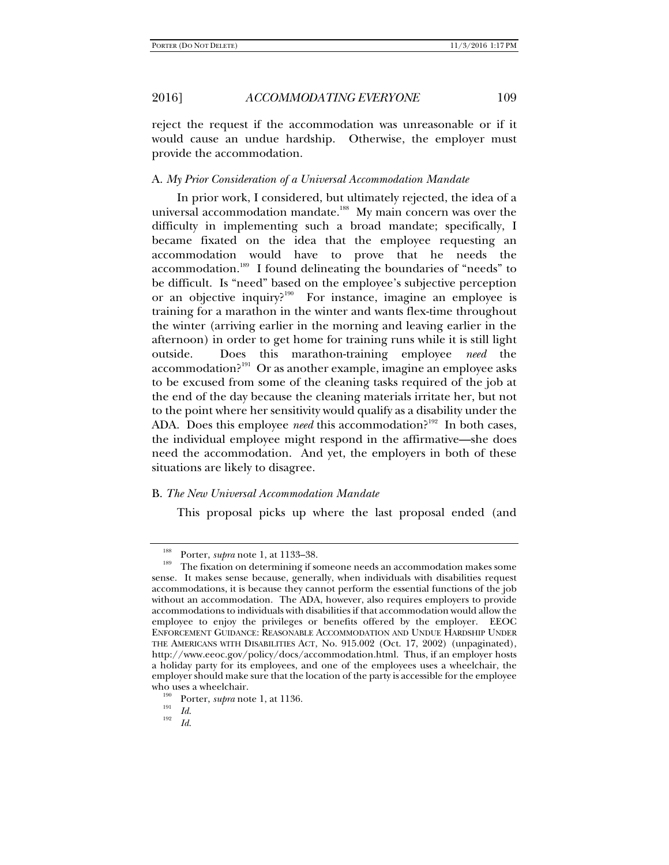reject the request if the accommodation was unreasonable or if it would cause an undue hardship. Otherwise, the employer must provide the accommodation.

## A. *My Prior Consideration of a Universal Accommodation Mandate*

In prior work, I considered, but ultimately rejected, the idea of a universal accommodation mandate.<sup>188</sup> My main concern was over the difficulty in implementing such a broad mandate; specifically, I became fixated on the idea that the employee requesting an accommodation would have to prove that he needs the accommodation.<sup>189</sup> I found delineating the boundaries of "needs" to be difficult. Is "need" based on the employee's subjective perception or an objective inquiry?<sup>190</sup> For instance, imagine an employee is training for a marathon in the winter and wants flex-time throughout the winter (arriving earlier in the morning and leaving earlier in the afternoon) in order to get home for training runs while it is still light outside. Does this marathon-training employee *need* the accommodation?<sup>191</sup> Or as another example, imagine an employee asks to be excused from some of the cleaning tasks required of the job at the end of the day because the cleaning materials irritate her, but not to the point where her sensitivity would qualify as a disability under the ADA. Does this employee *need* this accommodation?<sup>192</sup> In both cases, the individual employee might respond in the affirmative—she does need the accommodation. And yet, the employers in both of these situations are likely to disagree.

## B. *The New Universal Accommodation Mandate*

This proposal picks up where the last proposal ended (and

<sup>&</sup>lt;sup>188</sup> Porter, *supra* note 1, at 1133–38.<br><sup>189</sup> The fixation on determining if someone needs an accommodation makes some sense. It makes sense because, generally, when individuals with disabilities request accommodations, it is because they cannot perform the essential functions of the job without an accommodation. The ADA, however, also requires employers to provide accommodations to individuals with disabilities if that accommodation would allow the employee to enjoy the privileges or benefits offered by the employer. EEOC ENFORCEMENT GUIDANCE: REASONABLE ACCOMMODATION AND UNDUE HARDSHIP UNDER THE AMERICANS WITH DISABILITIES ACT, No. 915.002 (Oct. 17, 2002) (unpaginated), http://www.eeoc.gov/policy/docs/accommodation.html. Thus, if an employer hosts a holiday party for its employees, and one of the employees uses a wheelchair, the employer should make sure that the location of the party is accessible for the employee

who uses a wheelchair.<br><sup>190</sup> Porter, *supra* note 1, at 1136.<br>*Id.* 192

*Id*.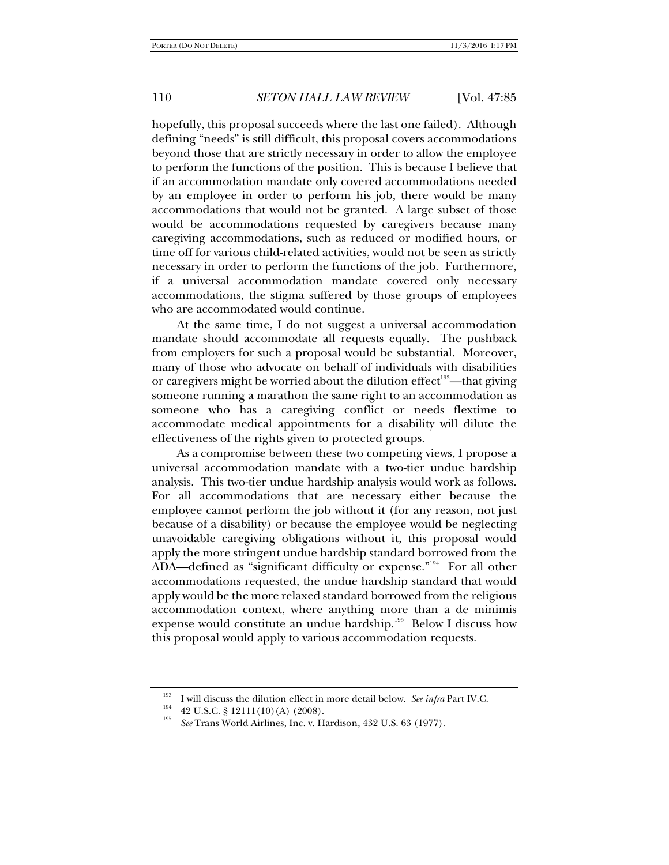hopefully, this proposal succeeds where the last one failed). Although defining "needs" is still difficult, this proposal covers accommodations beyond those that are strictly necessary in order to allow the employee to perform the functions of the position. This is because I believe that if an accommodation mandate only covered accommodations needed by an employee in order to perform his job, there would be many accommodations that would not be granted. A large subset of those would be accommodations requested by caregivers because many caregiving accommodations, such as reduced or modified hours, or time off for various child-related activities, would not be seen as strictly necessary in order to perform the functions of the job. Furthermore, if a universal accommodation mandate covered only necessary accommodations, the stigma suffered by those groups of employees who are accommodated would continue.

At the same time, I do not suggest a universal accommodation mandate should accommodate all requests equally. The pushback from employers for such a proposal would be substantial. Moreover, many of those who advocate on behalf of individuals with disabilities or caregivers might be worried about the dilution effect<sup>193</sup>—that giving someone running a marathon the same right to an accommodation as someone who has a caregiving conflict or needs flextime to accommodate medical appointments for a disability will dilute the effectiveness of the rights given to protected groups.

As a compromise between these two competing views, I propose a universal accommodation mandate with a two-tier undue hardship analysis. This two-tier undue hardship analysis would work as follows. For all accommodations that are necessary either because the employee cannot perform the job without it (for any reason, not just because of a disability) or because the employee would be neglecting unavoidable caregiving obligations without it, this proposal would apply the more stringent undue hardship standard borrowed from the ADA—defined as "significant difficulty or expense."<sup>194</sup> For all other accommodations requested, the undue hardship standard that would apply would be the more relaxed standard borrowed from the religious accommodation context, where anything more than a de minimis expense would constitute an undue hardship.<sup>195</sup> Below I discuss how this proposal would apply to various accommodation requests.

<sup>&</sup>lt;sup>193</sup> I will discuss the dilution effect in more detail below. *See infra* Part IV.C.  $^{194}$  42 U.S.C. § 12111(10)(A) (2008).

*See* Trans World Airlines, Inc. v. Hardison, 432 U.S. 63 (1977).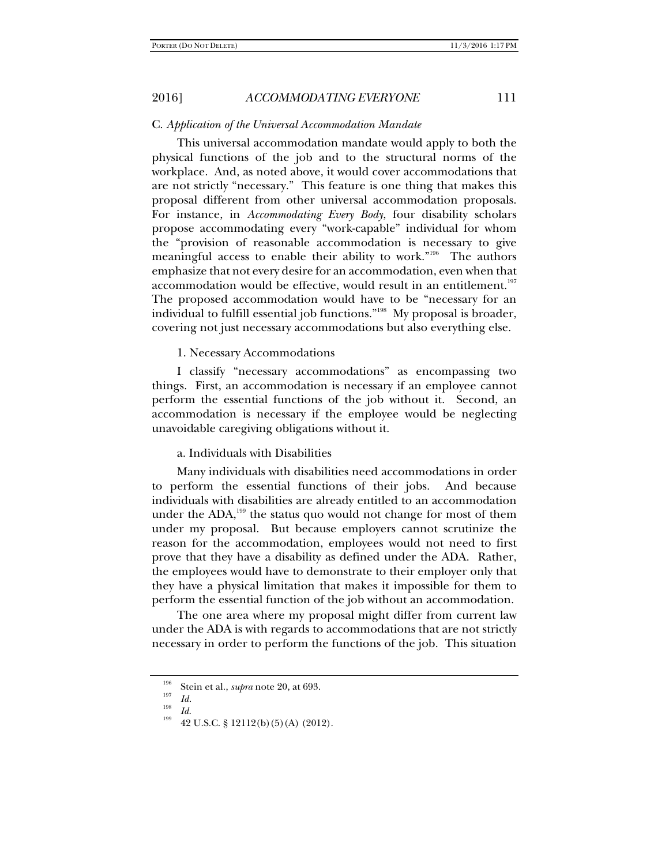## C. *Application of the Universal Accommodation Mandate*

This universal accommodation mandate would apply to both the physical functions of the job and to the structural norms of the workplace. And, as noted above, it would cover accommodations that are not strictly "necessary." This feature is one thing that makes this proposal different from other universal accommodation proposals. For instance, in *Accommodating Every Body*, four disability scholars propose accommodating every "work-capable" individual for whom the "provision of reasonable accommodation is necessary to give meaningful access to enable their ability to work."<sup>196</sup> The authors emphasize that not every desire for an accommodation, even when that accommodation would be effective, would result in an entitlement.<sup>197</sup> The proposed accommodation would have to be "necessary for an individual to fulfill essential job functions."198 My proposal is broader, covering not just necessary accommodations but also everything else.

1. Necessary Accommodations

I classify "necessary accommodations" as encompassing two things. First, an accommodation is necessary if an employee cannot perform the essential functions of the job without it. Second, an accommodation is necessary if the employee would be neglecting unavoidable caregiving obligations without it.

# a. Individuals with Disabilities

Many individuals with disabilities need accommodations in order to perform the essential functions of their jobs. And because individuals with disabilities are already entitled to an accommodation under the  $ADA$ ,<sup>199</sup> the status quo would not change for most of them under my proposal. But because employers cannot scrutinize the reason for the accommodation, employees would not need to first prove that they have a disability as defined under the ADA. Rather, the employees would have to demonstrate to their employer only that they have a physical limitation that makes it impossible for them to perform the essential function of the job without an accommodation.

The one area where my proposal might differ from current law under the ADA is with regards to accommodations that are not strictly necessary in order to perform the functions of the job. This situation

<sup>&</sup>lt;sup>196</sup> Stein et al., *supra* note 20, at 693.<br> $\frac{197}{Id}$ .

<sup>&</sup>lt;sup>198</sup> *Id. Id.* 42 U.S.C. § 12112(b)(5)(A) (2012).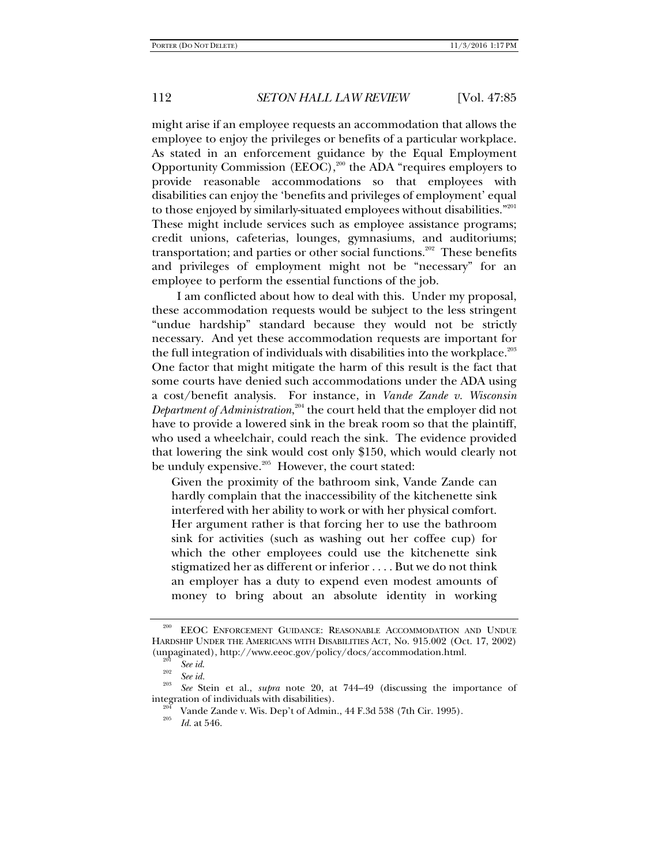might arise if an employee requests an accommodation that allows the employee to enjoy the privileges or benefits of a particular workplace. As stated in an enforcement guidance by the Equal Employment Opportunity Commission (EEOC),<sup>200</sup> the ADA "requires employers to provide reasonable accommodations so that employees with disabilities can enjoy the 'benefits and privileges of employment' equal to those enjoyed by similarly-situated employees without disabilities."<sup>201</sup> These might include services such as employee assistance programs; credit unions, cafeterias, lounges, gymnasiums, and auditoriums; transportation; and parties or other social functions.<sup>202</sup> These benefits and privileges of employment might not be "necessary" for an employee to perform the essential functions of the job.

I am conflicted about how to deal with this. Under my proposal, these accommodation requests would be subject to the less stringent "undue hardship" standard because they would not be strictly necessary. And yet these accommodation requests are important for the full integration of individuals with disabilities into the workplace.<sup>203</sup> One factor that might mitigate the harm of this result is the fact that some courts have denied such accommodations under the ADA using a cost/benefit analysis. For instance, in *Vande Zande v. Wisconsin Department of Administration*, 204 the court held that the employer did not have to provide a lowered sink in the break room so that the plaintiff, who used a wheelchair, could reach the sink. The evidence provided that lowering the sink would cost only \$150, which would clearly not be unduly expensive.<sup>205</sup> However, the court stated:

Given the proximity of the bathroom sink, Vande Zande can hardly complain that the inaccessibility of the kitchenette sink interfered with her ability to work or with her physical comfort. Her argument rather is that forcing her to use the bathroom sink for activities (such as washing out her coffee cup) for which the other employees could use the kitchenette sink stigmatized her as different or inferior . . . . But we do not think an employer has a duty to expend even modest amounts of money to bring about an absolute identity in working

EEOC ENFORCEMENT GUIDANCE: REASONABLE ACCOMMODATION AND UNDUE HARDSHIP UNDER THE AMERICANS WITH DISABILITIES ACT, No. 915.002 (Oct. 17, 2002) (unpaginated), http://www.eeoc.gov/policy/docs/accommodation.html.<br><sup>201</sup> *See id.* 202 *See id.* 203 *See id.* 203 **See id.** 203 **See id.** 203 **See id.** 203 **See id.** 203 **See id.** 203 **See id.** 203 **See id.** 203 **See id.** 

*See* Stein et al., *supra* note 20, at 744–49 (discussing the importance of integration of individuals with disabilities).<br><sup>204</sup> Vande Zande v. Wis. Dep't of Admin., 44 F.3d 538 (7th Cir. 1995).

*Id*. at 546.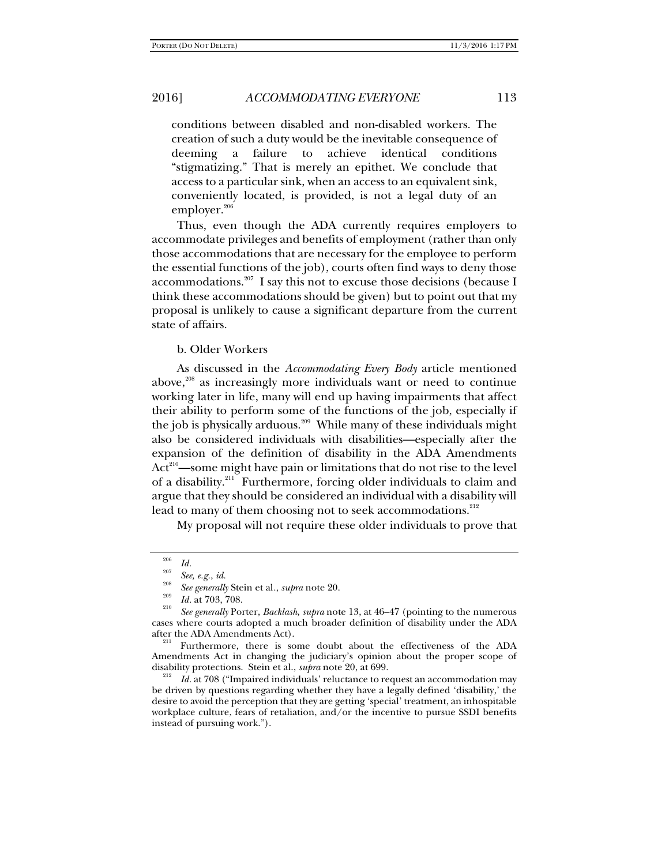conditions between disabled and non-disabled workers. The creation of such a duty would be the inevitable consequence of deeming a failure to achieve identical conditions "stigmatizing." That is merely an epithet. We conclude that access to a particular sink, when an access to an equivalent sink, conveniently located, is provided, is not a legal duty of an employer. $206$ 

Thus, even though the ADA currently requires employers to accommodate privileges and benefits of employment (rather than only those accommodations that are necessary for the employee to perform the essential functions of the job), courts often find ways to deny those accommodations.<sup>207</sup> I say this not to excuse those decisions (because I think these accommodations should be given) but to point out that my proposal is unlikely to cause a significant departure from the current state of affairs.

## b. Older Workers

As discussed in the *Accommodating Every Body* article mentioned above, $208$  as increasingly more individuals want or need to continue working later in life, many will end up having impairments that affect their ability to perform some of the functions of the job, especially if the job is physically arduous.<sup>209</sup> While many of these individuals might also be considered individuals with disabilities—especially after the expansion of the definition of disability in the ADA Amendments Act<sup>210</sup>—some might have pain or limitations that do not rise to the level of a disability.<sup>211</sup> Furthermore, forcing older individuals to claim and argue that they should be considered an individual with a disability will lead to many of them choosing not to seek accommodations.<sup>212</sup>

My proposal will not require these older individuals to prove that

<sup>&</sup>lt;sup>206</sup> Id.<br><sup>207</sup> See, e.g., id.

<sup>&</sup>lt;sup>208</sup> *See generally* Stein et al., *supra* note 20.<br><sup>209</sup> *Id.* at 703, 708.

<sup>&</sup>lt;sup>210</sup> See generally Porter, *Backlash*, *supra* note 13, at 46–47 (pointing to the numerous cases where courts adopted a much broader definition of disability under the ADA after the ADA Amendments Act).<br><sup>211</sup> Furthermore, there is some doubt about the effectiveness of the ADA

Amendments Act in changing the judiciary's opinion about the proper scope of disability protections. Stein et al., *supra* note 20, at 699.<br><sup>212</sup> *Id.* at 708 ("Impaired individuals' reluctance to request an accommodation may

be driven by questions regarding whether they have a legally defined 'disability,' the desire to avoid the perception that they are getting 'special' treatment, an inhospitable workplace culture, fears of retaliation, and/or the incentive to pursue SSDI benefits instead of pursuing work.").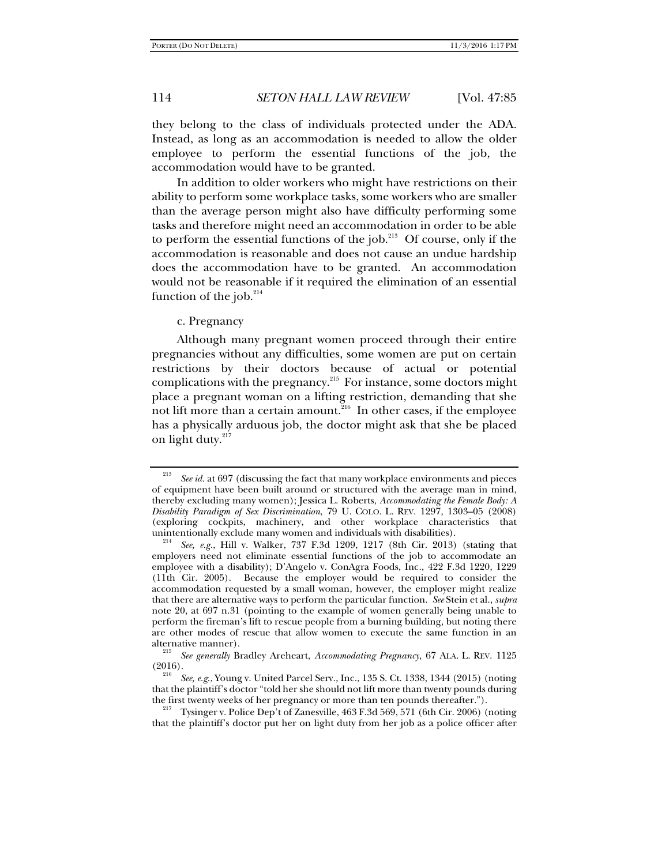they belong to the class of individuals protected under the ADA. Instead, as long as an accommodation is needed to allow the older employee to perform the essential functions of the job, the accommodation would have to be granted.

In addition to older workers who might have restrictions on their ability to perform some workplace tasks, some workers who are smaller than the average person might also have difficulty performing some tasks and therefore might need an accommodation in order to be able to perform the essential functions of the job. $^{213}$  Of course, only if the accommodation is reasonable and does not cause an undue hardship does the accommodation have to be granted. An accommodation would not be reasonable if it required the elimination of an essential function of the job. $214$ 

c. Pregnancy

Although many pregnant women proceed through their entire pregnancies without any difficulties, some women are put on certain restrictions by their doctors because of actual or potential complications with the pregnancy.215 For instance, some doctors might place a pregnant woman on a lifting restriction, demanding that she not lift more than a certain amount. $216$  In other cases, if the employee has a physically arduous job, the doctor might ask that she be placed on light duty. $217$ 

<sup>213</sup> *See id.* at 697 (discussing the fact that many workplace environments and pieces of equipment have been built around or structured with the average man in mind, thereby excluding many women); Jessica L. Roberts, *Accommodating the Female Body: A Disability Paradigm of Sex Discrimination*, 79 U. COLO. L. REV. 1297, 1303–05 (2008) (exploring cockpits, machinery, and other workplace characteristics that unintentionally exclude many women and individuals with disabilities).

*See, e.g.*, Hill v. Walker, 737 F.3d 1209, 1217 (8th Cir. 2013) (stating that employers need not eliminate essential functions of the job to accommodate an employee with a disability); D'Angelo v. ConAgra Foods, Inc*.*, 422 F.3d 1220, 1229 (11th Cir. 2005). Because the employer would be required to consider the accommodation requested by a small woman, however, the employer might realize that there are alternative ways to perform the particular function. *See* Stein et al., *supra* note 20, at 697 n.31 (pointing to the example of women generally being unable to perform the fireman's lift to rescue people from a burning building, but noting there are other modes of rescue that allow women to execute the same function in an alternative manner).

*See generally* Bradley Areheart, *Accommodating Pregnancy*, 67 ALA. L. REV. 1125  $(2016).$ 

*See, e.g*., Young v. United Parcel Serv., Inc., 135 S. Ct. 1338, 1344 (2015) (noting that the plaintiff's doctor "told her she should not lift more than twenty pounds during the first twenty weeks of her pregnancy or more than ten pounds thereafter.").<br><sup>217</sup> Tysinger v. Police Dep't of Zanesville, 463 F.3d 569, 571 (6th Cir. 2006) (noting

that the plaintiff's doctor put her on light duty from her job as a police officer after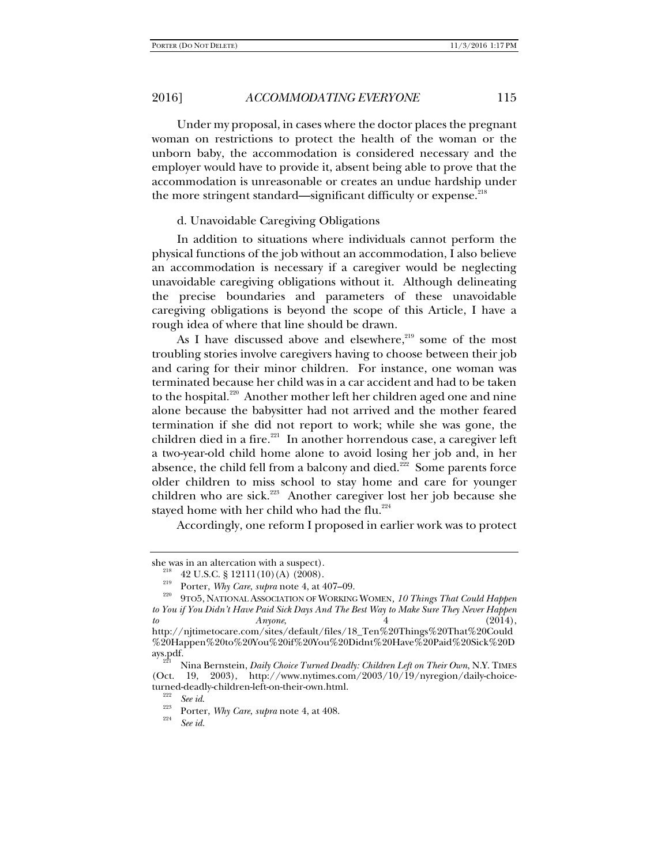Under my proposal, in cases where the doctor places the pregnant woman on restrictions to protect the health of the woman or the unborn baby, the accommodation is considered necessary and the employer would have to provide it, absent being able to prove that the accommodation is unreasonable or creates an undue hardship under the more stringent standard—significant difficulty or expense.<sup>218</sup>

#### d. Unavoidable Caregiving Obligations

In addition to situations where individuals cannot perform the physical functions of the job without an accommodation, I also believe an accommodation is necessary if a caregiver would be neglecting unavoidable caregiving obligations without it. Although delineating the precise boundaries and parameters of these unavoidable caregiving obligations is beyond the scope of this Article, I have a rough idea of where that line should be drawn.

As I have discussed above and elsewhere, $219$  some of the most troubling stories involve caregivers having to choose between their job and caring for their minor children. For instance, one woman was terminated because her child was in a car accident and had to be taken to the hospital.<sup>220</sup> Another mother left her children aged one and nine alone because the babysitter had not arrived and the mother feared termination if she did not report to work; while she was gone, the children died in a fire.<sup>221</sup> In another horrendous case, a caregiver left a two-year-old child home alone to avoid losing her job and, in her absence, the child fell from a balcony and died.<sup>222</sup> Some parents force older children to miss school to stay home and care for younger children who are sick. $223$  Another caregiver lost her job because she stayed home with her child who had the flu. $224$ 

Accordingly, one reform I proposed in earlier work was to protect

she was in an altercation with a suspect).<br><sup>218</sup> 42 U.S.C. § 12111 (10) (A) (2008).<br><sup>219</sup> Porter, *Why Care, supra* note 4, at 407–09.<br><sup>220</sup> 9TO5, NATIONAL ASSOCIATION OF WORKING WOMEN, *10 Things That Could Happen to You if You Didn't Have Paid Sick Days And The Best Way to Make Sure They Never Happen to Anyone*, 4 (2014), http://njtimetocare.com/sites/default/files/18\_Ten%20Things%20That%20Could %20Happen%20to%20You%20if%20You%20Didnt%20Have%20Paid%20Sick%20D

ays.pdf. 221 Nina Bernstein, *Daily Choice Turned Deadly: Children Left on Their Own*, N.Y. TIMES (Oct. 19, 2003), http://www.nytimes.com/2003/10/19/nyregion/daily-choiceturned-deadly-children-left-on-their-own.html.<br> $\frac{222}{222}$  See id.

<sup>&</sup>lt;sup>223</sup> Porter, *Why Care*, *supra* note 4, at 408.

*See id.*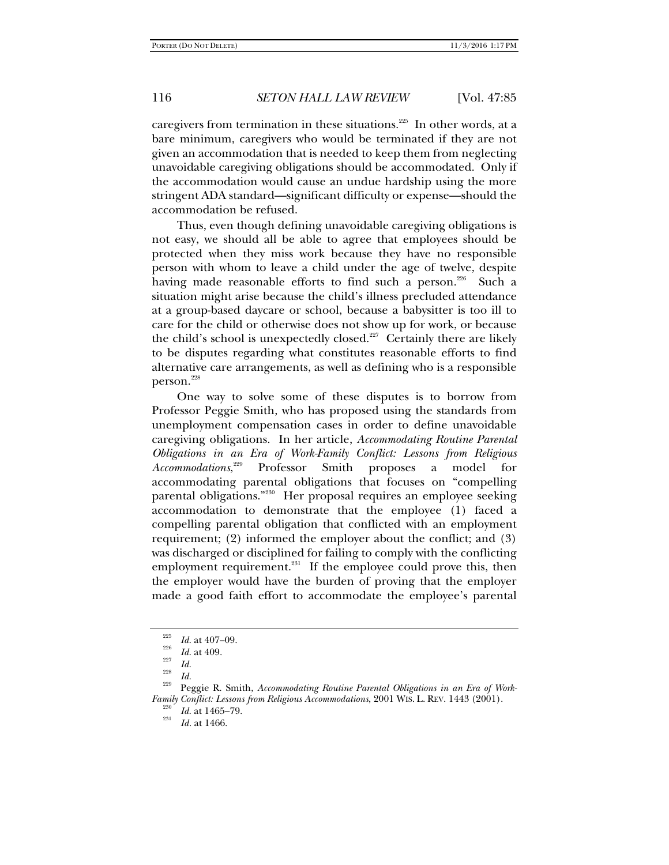caregivers from termination in these situations.<sup>225</sup> In other words, at a bare minimum, caregivers who would be terminated if they are not given an accommodation that is needed to keep them from neglecting unavoidable caregiving obligations should be accommodated. Only if the accommodation would cause an undue hardship using the more stringent ADA standard—significant difficulty or expense—should the accommodation be refused.

Thus, even though defining unavoidable caregiving obligations is not easy, we should all be able to agree that employees should be protected when they miss work because they have no responsible person with whom to leave a child under the age of twelve, despite having made reasonable efforts to find such a person.<sup>226</sup> Such a situation might arise because the child's illness precluded attendance at a group-based daycare or school, because a babysitter is too ill to care for the child or otherwise does not show up for work, or because the child's school is unexpectedly closed. $227$  Certainly there are likely to be disputes regarding what constitutes reasonable efforts to find alternative care arrangements, as well as defining who is a responsible person.<sup>228</sup>

One way to solve some of these disputes is to borrow from Professor Peggie Smith, who has proposed using the standards from unemployment compensation cases in order to define unavoidable caregiving obligations. In her article, *Accommodating Routine Parental Obligations in an Era of Work-Family Conflict: Lessons from Religious Accommodations*, Professor Smith proposes a model for accommodating parental obligations that focuses on "compelling parental obligations."230 Her proposal requires an employee seeking accommodation to demonstrate that the employee (1) faced a compelling parental obligation that conflicted with an employment requirement; (2) informed the employer about the conflict; and (3) was discharged or disciplined for failing to comply with the conflicting employment requirement. $^{231}$  If the employee could prove this, then the employer would have the burden of proving that the employer made a good faith effort to accommodate the employee's parental

 $\frac{^{225}}{^{226}}$  *Id.* at 407–09.<br>*Id.* at 409.

<sup>&</sup>lt;sup>227</sup> *Id.*<br><sup>228</sup> *Id.* 229 *Peggie R. Smith, <i>Accommodating Routine Parental Obligations in an Era of Work-Family Conflict: Lessons from Religious Accommodations*, 2001 WIS. L. REV. 1443 (2001).<br><sup>230</sup>*Id.* at 1465–79. <sup>231</sup>

*Id.* at 1466.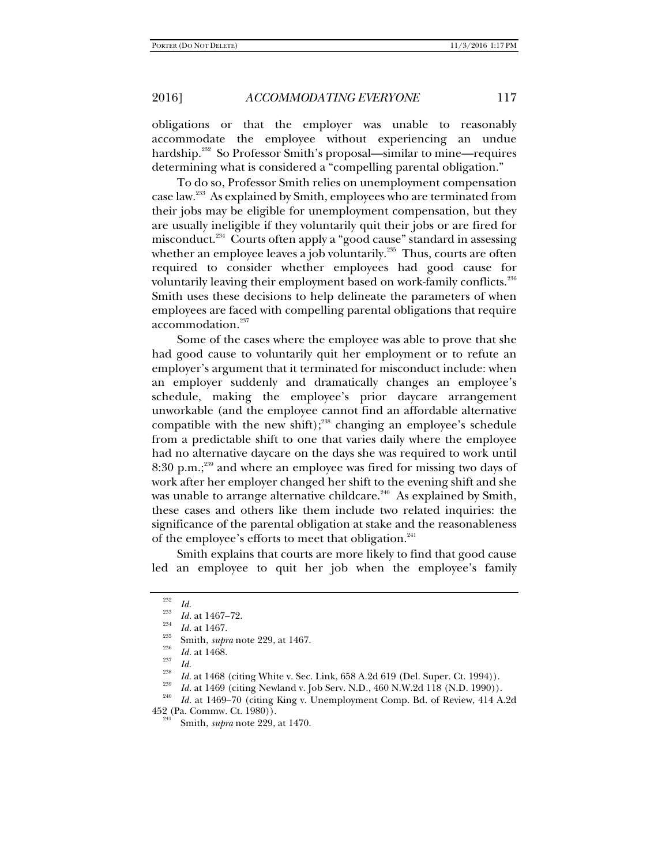obligations or that the employer was unable to reasonably accommodate the employee without experiencing an undue hardship.<sup>232</sup> So Professor Smith's proposal—similar to mine—requires determining what is considered a "compelling parental obligation."

To do so, Professor Smith relies on unemployment compensation case law.233 As explained by Smith, employees who are terminated from their jobs may be eligible for unemployment compensation, but they are usually ineligible if they voluntarily quit their jobs or are fired for misconduct.<sup>234</sup> Courts often apply a "good cause" standard in assessing whether an employee leaves a job voluntarily. $235$  Thus, courts are often required to consider whether employees had good cause for voluntarily leaving their employment based on work-family conflicts.<sup>236</sup> Smith uses these decisions to help delineate the parameters of when employees are faced with compelling parental obligations that require accommodation.<sup>237</sup>

Some of the cases where the employee was able to prove that she had good cause to voluntarily quit her employment or to refute an employer's argument that it terminated for misconduct include: when an employer suddenly and dramatically changes an employee's schedule, making the employee's prior daycare arrangement unworkable (and the employee cannot find an affordable alternative compatible with the new shift); $238$  changing an employee's schedule from a predictable shift to one that varies daily where the employee had no alternative daycare on the days she was required to work until 8:30 p.m.;<sup>239</sup> and where an employee was fired for missing two days of work after her employer changed her shift to the evening shift and she was unable to arrange alternative childcare.<sup>240</sup> As explained by Smith, these cases and others like them include two related inquiries: the significance of the parental obligation at stake and the reasonableness of the employee's efforts to meet that obligation.<sup>241</sup>

Smith explains that courts are more likely to find that good cause led an employee to quit her job when the employee's family

<sup>232</sup>

 $\frac{^{232}}{^{233}}$  *Id.* at 1467–72.

<sup>&</sup>lt;sup>234</sup> *Id.* at 1467.<br><sup>235</sup> Smith, *supra* note 229, at 1467.<br>*Id.* at 1468.

*Id. Id. Id.* 238 *Id.* at 1468 (citing White v. Sec. Link, 658 A.2d 619 (Del. Super. Ct. 1994)). *Id.* at 1469 (citing Newland v. Job Serv. N.D., 460 N.W.2d 118 (N.D. 1990)).

<sup>&</sup>lt;sup>240</sup> Id. at 1469–70 (citing King v. Unemployment Comp. Bd. of Review, 414 A.2d 452 (Pa. Commw. Ct. 1980)). 241 Smith, *supra* note 229, at 1470.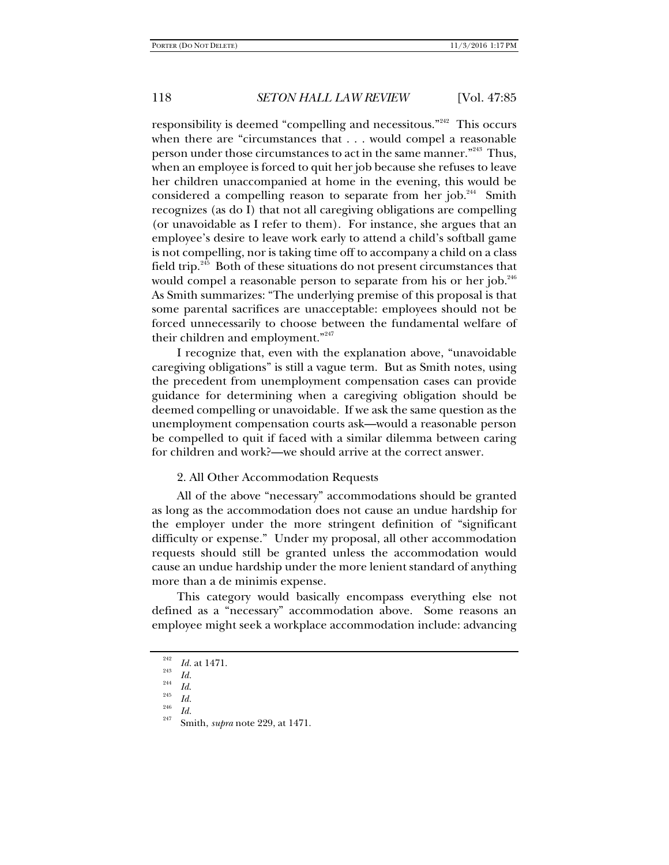responsibility is deemed "compelling and necessitous."<sup>242</sup> This occurs when there are "circumstances that . . . would compel a reasonable person under those circumstances to act in the same manner.<sup>"243</sup> Thus, when an employee is forced to quit her job because she refuses to leave her children unaccompanied at home in the evening, this would be considered a compelling reason to separate from her job.<sup>244</sup> Smith recognizes (as do I) that not all caregiving obligations are compelling (or unavoidable as I refer to them). For instance, she argues that an employee's desire to leave work early to attend a child's softball game is not compelling, nor is taking time off to accompany a child on a class field trip. $245$  Both of these situations do not present circumstances that would compel a reasonable person to separate from his or her job. $246$ As Smith summarizes: "The underlying premise of this proposal is that some parental sacrifices are unacceptable: employees should not be forced unnecessarily to choose between the fundamental welfare of their children and employment."<sup>247</sup>

I recognize that, even with the explanation above, "unavoidable caregiving obligations" is still a vague term. But as Smith notes, using the precedent from unemployment compensation cases can provide guidance for determining when a caregiving obligation should be deemed compelling or unavoidable. If we ask the same question as the unemployment compensation courts ask—would a reasonable person be compelled to quit if faced with a similar dilemma between caring for children and work?—we should arrive at the correct answer.

#### 2. All Other Accommodation Requests

All of the above "necessary" accommodations should be granted as long as the accommodation does not cause an undue hardship for the employer under the more stringent definition of "significant difficulty or expense." Under my proposal, all other accommodation requests should still be granted unless the accommodation would cause an undue hardship under the more lenient standard of anything more than a de minimis expense.

This category would basically encompass everything else not defined as a "necessary" accommodation above. Some reasons an employee might seek a workplace accommodation include: advancing

 $\frac{^{242}}{^{243}}$  *Id.* at 1471.

<sup>&</sup>lt;sup>243</sup> *Id.*<br><sup>244</sup> *Id.*<br><sup>245</sup> *Id.* 

*Id.* 246 *Id.* 247 Smith, *supra* note 229, at 1471.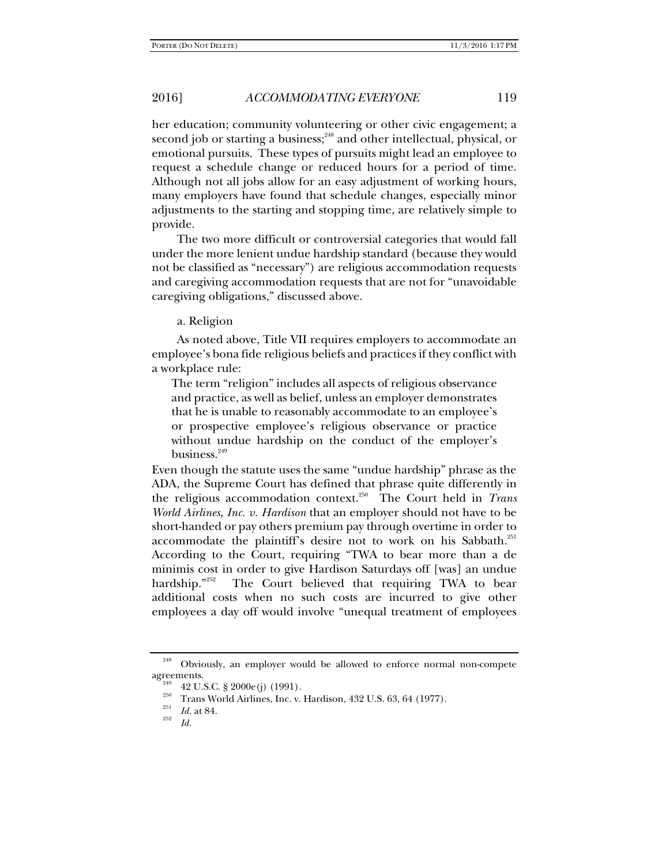her education; community volunteering or other civic engagement; a second job or starting a business;<sup>248</sup> and other intellectual, physical, or emotional pursuits. These types of pursuits might lead an employee to request a schedule change or reduced hours for a period of time. Although not all jobs allow for an easy adjustment of working hours, many employers have found that schedule changes, especially minor adjustments to the starting and stopping time, are relatively simple to provide.

The two more difficult or controversial categories that would fall under the more lenient undue hardship standard (because they would not be classified as "necessary") are religious accommodation requests and caregiving accommodation requests that are not for "unavoidable caregiving obligations," discussed above.

a. Religion

As noted above, Title VII requires employers to accommodate an employee's bona fide religious beliefs and practices if they conflict with a workplace rule:

The term "religion" includes all aspects of religious observance and practice, as well as belief, unless an employer demonstrates that he is unable to reasonably accommodate to an employee's or prospective employee's religious observance or practice without undue hardship on the conduct of the employer's business.<sup>249</sup>

Even though the statute uses the same "undue hardship" phrase as the ADA, the Supreme Court has defined that phrase quite differently in the religious accommodation context.250 The Court held in *Trans World Airlines, Inc. v. Hardison* that an employer should not have to be short-handed or pay others premium pay through overtime in order to accommodate the plaintiff's desire not to work on his Sabbath.<sup>251</sup> According to the Court, requiring "TWA to bear more than a de minimis cost in order to give Hardison Saturdays off [was] an undue hardship."<sup>252</sup> The Court believed that requiring TWA to bear additional costs when no such costs are incurred to give other employees a day off would involve "unequal treatment of employees

<sup>&</sup>lt;sup>248</sup> Obviously, an employer would be allowed to enforce normal non-compete agreements.

<sup>42</sup> U.S.C. § 2000e(j) (1991).<br><sup>250</sup> Trans World Airlines, Inc. v. Hardison, 432 U.S. 63, 64 (1977).<br>*Id.* at 84.

*Id.*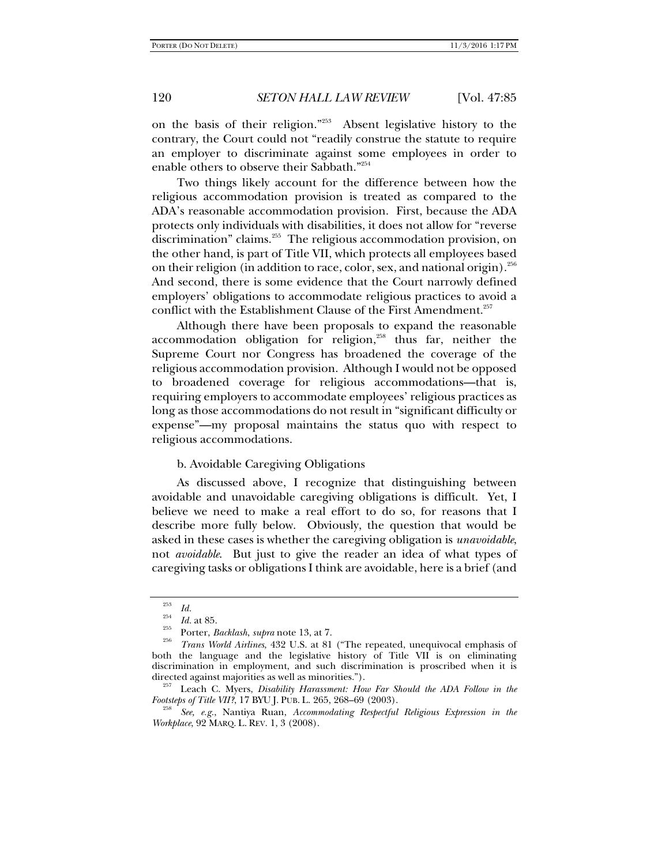on the basis of their religion."253 Absent legislative history to the contrary, the Court could not "readily construe the statute to require an employer to discriminate against some employees in order to enable others to observe their Sabbath."<sup>254</sup>

Two things likely account for the difference between how the religious accommodation provision is treated as compared to the ADA's reasonable accommodation provision. First, because the ADA protects only individuals with disabilities, it does not allow for "reverse discrimination" claims.<sup>255</sup> The religious accommodation provision, on the other hand, is part of Title VII, which protects all employees based on their religion (in addition to race, color, sex, and national origin).  $256$ And second, there is some evidence that the Court narrowly defined employers' obligations to accommodate religious practices to avoid a conflict with the Establishment Clause of the First Amendment.<sup>257</sup>

Although there have been proposals to expand the reasonable accommodation obligation for religion, $258$  thus far, neither the Supreme Court nor Congress has broadened the coverage of the religious accommodation provision. Although I would not be opposed to broadened coverage for religious accommodations—that is, requiring employers to accommodate employees' religious practices as long as those accommodations do not result in "significant difficulty or expense"—my proposal maintains the status quo with respect to religious accommodations.

### b. Avoidable Caregiving Obligations

As discussed above, I recognize that distinguishing between avoidable and unavoidable caregiving obligations is difficult. Yet, I believe we need to make a real effort to do so, for reasons that I describe more fully below. Obviously, the question that would be asked in these cases is whether the caregiving obligation is *unavoidable*, not *avoidable*. But just to give the reader an idea of what types of caregiving tasks or obligations I think are avoidable, here is a brief (and

<sup>253</sup>*Id.* 254 *Id.* at 85. 255 Porter, *Backlash*, *supra* note 13, at 7. 256 *Trans World Airlines*, 432 U.S. at 81 ("The repeated, unequivocal emphasis of both the language and the legislative history of Title VII is on eliminating discrimination in employment, and such discrimination is proscribed when it is directed against majorities as well as minorities."). 257 Leach C. Myers, *Disability Harassment: How Far Should the ADA Follow in the* 

*Footsteps of Title VII?*, 17 BYU J. PUB. L. 265, 268-69 (2003).

*See, e.g.*, Nantiya Ruan, *Accommodating Respectful Religious Expression in the Workplace*, 92 MARQ. L. REV. 1, 3 (2008).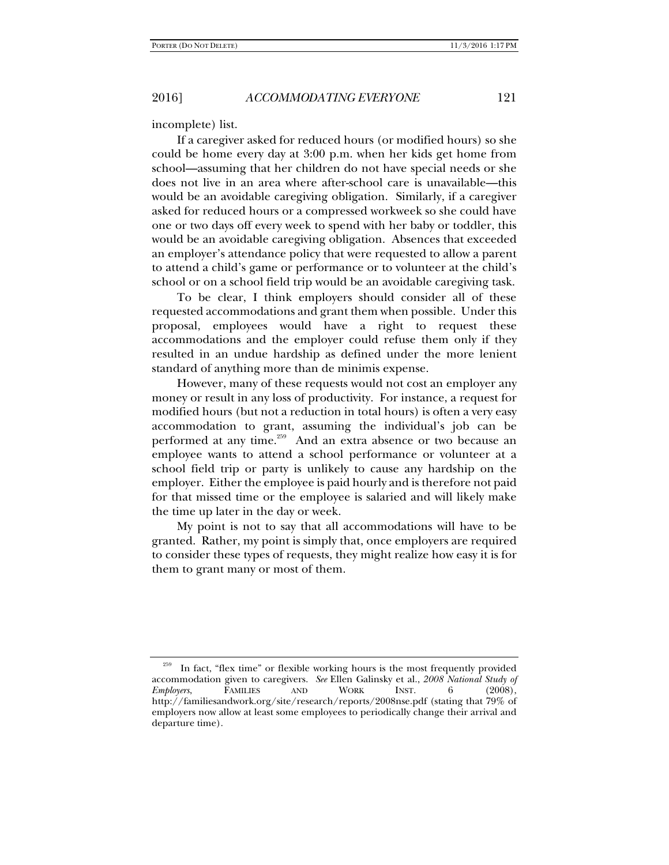incomplete) list.

If a caregiver asked for reduced hours (or modified hours) so she could be home every day at 3:00 p.m. when her kids get home from school—assuming that her children do not have special needs or she does not live in an area where after-school care is unavailable—this would be an avoidable caregiving obligation. Similarly, if a caregiver asked for reduced hours or a compressed workweek so she could have one or two days off every week to spend with her baby or toddler, this would be an avoidable caregiving obligation. Absences that exceeded an employer's attendance policy that were requested to allow a parent to attend a child's game or performance or to volunteer at the child's school or on a school field trip would be an avoidable caregiving task.

To be clear, I think employers should consider all of these requested accommodations and grant them when possible. Under this proposal, employees would have a right to request these accommodations and the employer could refuse them only if they resulted in an undue hardship as defined under the more lenient standard of anything more than de minimis expense.

However, many of these requests would not cost an employer any money or result in any loss of productivity. For instance, a request for modified hours (but not a reduction in total hours) is often a very easy accommodation to grant, assuming the individual's job can be performed at any time.<sup>259</sup> And an extra absence or two because an employee wants to attend a school performance or volunteer at a school field trip or party is unlikely to cause any hardship on the employer. Either the employee is paid hourly and is therefore not paid for that missed time or the employee is salaried and will likely make the time up later in the day or week.

My point is not to say that all accommodations will have to be granted. Rather, my point is simply that, once employers are required to consider these types of requests, they might realize how easy it is for them to grant many or most of them.

In fact, "flex time" or flexible working hours is the most frequently provided accommodation given to caregivers. *See* Ellen Galinsky et al., 2008 National Study of *Employers*, FAMILIES AND WORK INST. 6 (2008), *Employers*, FAMILIES AND WORK INST. 6 (2008), http://familiesandwork.org/site/research/reports/2008nse.pdf (stating that 79% of employers now allow at least some employees to periodically change their arrival and departure time).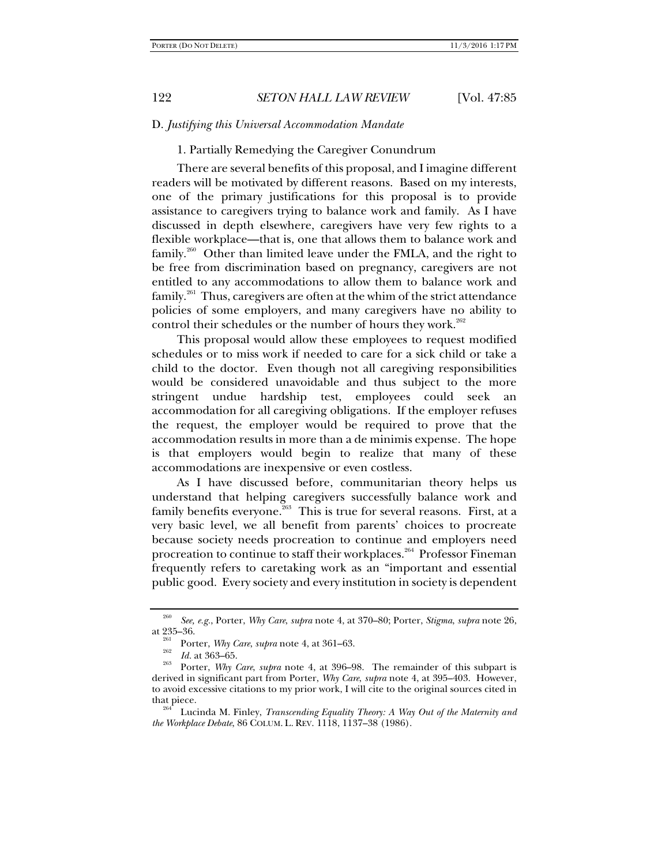## D. *Justifying this Universal Accommodation Mandate*

# 1. Partially Remedying the Caregiver Conundrum

There are several benefits of this proposal, and I imagine different readers will be motivated by different reasons. Based on my interests, one of the primary justifications for this proposal is to provide assistance to caregivers trying to balance work and family. As I have discussed in depth elsewhere, caregivers have very few rights to a flexible workplace—that is, one that allows them to balance work and family.<sup>260</sup> Other than limited leave under the FMLA, and the right to be free from discrimination based on pregnancy, caregivers are not entitled to any accommodations to allow them to balance work and  $f$ amily.<sup>261</sup> Thus, caregivers are often at the whim of the strict attendance policies of some employers, and many caregivers have no ability to control their schedules or the number of hours they work. $262$ 

This proposal would allow these employees to request modified schedules or to miss work if needed to care for a sick child or take a child to the doctor. Even though not all caregiving responsibilities would be considered unavoidable and thus subject to the more stringent undue hardship test, employees could seek an accommodation for all caregiving obligations. If the employer refuses the request, the employer would be required to prove that the accommodation results in more than a de minimis expense. The hope is that employers would begin to realize that many of these accommodations are inexpensive or even costless.

As I have discussed before, communitarian theory helps us understand that helping caregivers successfully balance work and family benefits everyone. $263$  This is true for several reasons. First, at a very basic level, we all benefit from parents' choices to procreate because society needs procreation to continue and employers need procreation to continue to staff their workplaces.<sup>264</sup> Professor Fineman frequently refers to caretaking work as an "important and essential public good. Every society and every institution in society is dependent

<sup>260</sup> *See, e.g.*, Porter, *Why Care*, *supra* note 4, at 370–80; Porter, *Stigma*, *supra* note 26, at 235–36.<br><sup>261</sup> Porter, *Why Care*, *supra* note 4, at 361–63.<br><sup>262</sup> Id. at 363–65.

<sup>&</sup>lt;sup>263</sup> Porter, *Why Care*, *supra* note 4, at 396–98. The remainder of this subpart is derived in significant part from Porter, *Why Care*, *supra* note 4, at 395–403. However, to avoid excessive citations to my prior work, I will cite to the original sources cited in that piece. 264 Lucinda M. Finley, *Transcending Equality Theory: A Way Out of the Maternity and* 

*the Workplace Debate*, 86 COLUM. L. REV. 1118, 1137–38 (1986).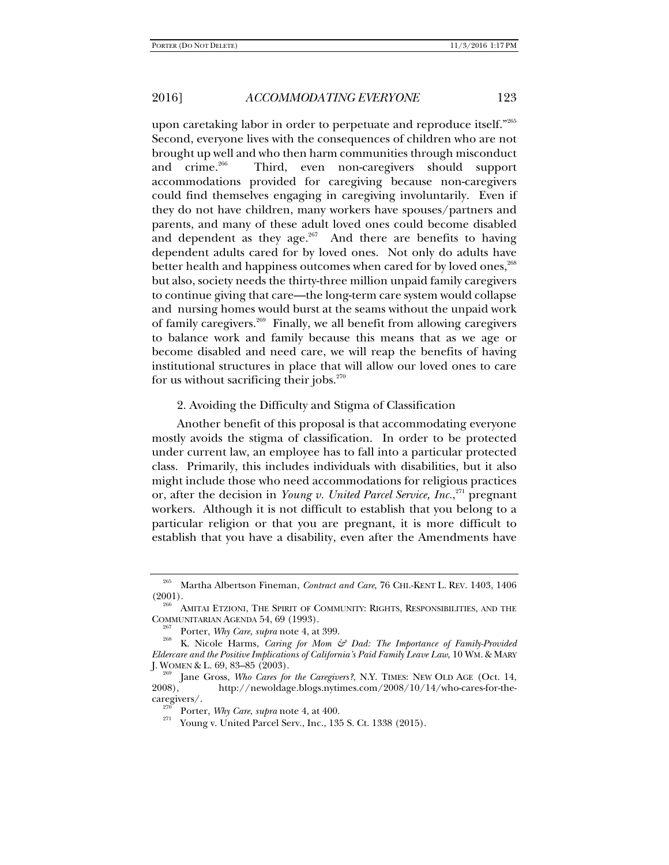upon caretaking labor in order to perpetuate and reproduce itself."265 Second, everyone lives with the consequences of children who are not brought up well and who then harm communities through misconduct and crime.<sup>266</sup> Third, even non-caregivers should support accommodations provided for caregiving because non-caregivers could find themselves engaging in caregiving involuntarily. Even if they do not have children, many workers have spouses/partners and parents, and many of these adult loved ones could become disabled and dependent as they age. $267$  And there are benefits to having dependent adults cared for by loved ones. Not only do adults have better health and happiness outcomes when cared for by loved ones,<sup>268</sup> but also, society needs the thirty-three million unpaid family caregivers to continue giving that care—the long-term care system would collapse and nursing homes would burst at the seams without the unpaid work of family caregivers.<sup>269</sup> Finally, we all benefit from allowing caregivers to balance work and family because this means that as we age or become disabled and need care, we will reap the benefits of having institutional structures in place that will allow our loved ones to care for us without sacrificing their jobs. $270$ 

#### 2. Avoiding the Difficulty and Stigma of Classification

Another benefit of this proposal is that accommodating everyone mostly avoids the stigma of classification. In order to be protected under current law, an employee has to fall into a particular protected class. Primarily, this includes individuals with disabilities, but it also might include those who need accommodations for religious practices or, after the decision in *Young v. United Parcel Service, Inc.*<sup>271</sup> pregnant workers. Although it is not difficult to establish that you belong to a particular religion or that you are pregnant, it is more difficult to establish that you have a disability, even after the Amendments have

<sup>&</sup>lt;sup>265</sup> Martha Albertson Fineman, *Contract and Care*, 76 CHI.-KENT L. REV. 1403, 1406 (2001).

 $^{200}$  AMITAI ETZIONI, THE SPIRIT OF COMMUNITY: RIGHTS, RESPONSIBILITIES, AND THE COMMUNITARIAN AGENDA 54, 69 (1993).

<sup>&</sup>lt;sup>267</sup> Porter, *Why Care*, *supra* note 4, at 399.<br><sup>268</sup> K. Nicole Harms, *Caring for Mom & Dad: The Importance of Family-Provided Eldercare and the Positive Implications of California's Paid Family Leave Law*, 10 WM. & MARY

<sup>&</sup>lt;sup>zov</sup> Jane Gross, *Who Cares for the Caregivers*?, N.Y. TIMES: NEW OLD AGE (Oct. 14, 2008). http://newoldage.blogs.nytimes.com/2008/10/14/who-cares-for-the-2008), http://newoldage.blogs.nytimes.com/2008/10/14/who-cares-for-the-<br>caregivers/.

<sup>&</sup>lt;sup>270</sup> Porter, *Why Care*, *supra* note 4, at 400.<br><sup>271</sup> Young v. United Parcel Serv., Inc., 135 S. Ct. 1338 (2015).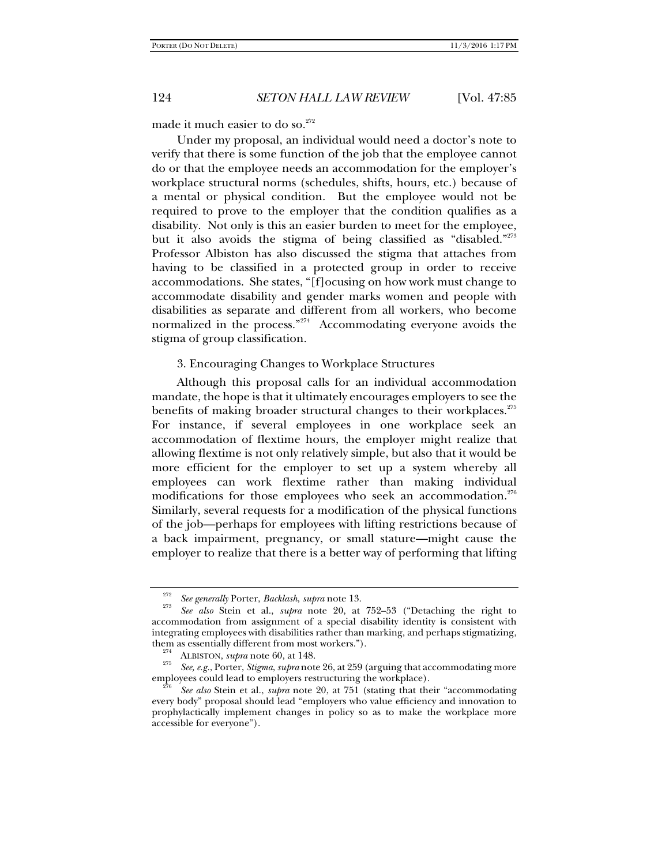made it much easier to do so.<sup>272</sup>

Under my proposal, an individual would need a doctor's note to verify that there is some function of the job that the employee cannot do or that the employee needs an accommodation for the employer's workplace structural norms (schedules, shifts, hours, etc.) because of a mental or physical condition. But the employee would not be required to prove to the employer that the condition qualifies as a disability. Not only is this an easier burden to meet for the employee, but it also avoids the stigma of being classified as "disabled."<sup>273</sup> Professor Albiston has also discussed the stigma that attaches from having to be classified in a protected group in order to receive accommodations. She states, "[f]ocusing on how work must change to accommodate disability and gender marks women and people with disabilities as separate and different from all workers, who become normalized in the process."274 Accommodating everyone avoids the stigma of group classification.

### 3. Encouraging Changes to Workplace Structures

Although this proposal calls for an individual accommodation mandate, the hope is that it ultimately encourages employers to see the benefits of making broader structural changes to their workplaces.<sup>275</sup> For instance, if several employees in one workplace seek an accommodation of flextime hours, the employer might realize that allowing flextime is not only relatively simple, but also that it would be more efficient for the employer to set up a system whereby all employees can work flextime rather than making individual modifications for those employees who seek an accommodation.<sup>276</sup> Similarly, several requests for a modification of the physical functions of the job—perhaps for employees with lifting restrictions because of a back impairment, pregnancy, or small stature—might cause the employer to realize that there is a better way of performing that lifting

<sup>272</sup>*See generally* Porter, *Backlash*, *supra* note 13. 273

*See also* Stein et al., *supra* note 20, at 752–53 ("Detaching the right to accommodation from assignment of a special disability identity is consistent with integrating employees with disabilities rather than marking, and perhaps stigmatizing,

<sup>&</sup>lt;sup>274</sup> ALBISTON, *supra* note 60, at 148.<br><sup>275</sup> *See, e.g.*, Porter, *Stigma, supra* note 26, at 259 (arguing that accommodating more employees could lead to employers restructuring the workplace).

See also Stein et al., *supra* note 20, at 751 (stating that their "accommodating every body" proposal should lead "employers who value efficiency and innovation to prophylactically implement changes in policy so as to make the workplace more accessible for everyone").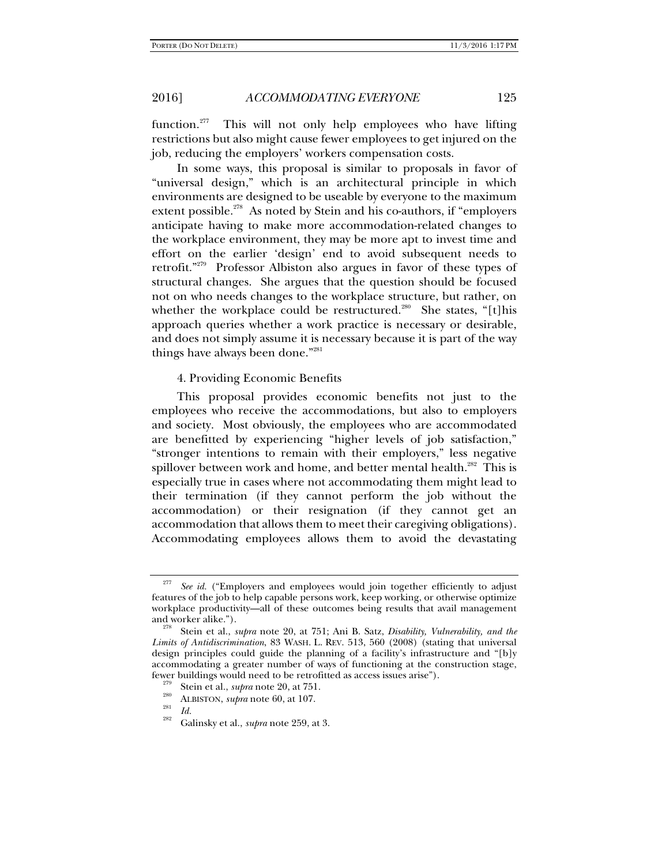function.<sup>277</sup> This will not only help employees who have lifting restrictions but also might cause fewer employees to get injured on the job, reducing the employers' workers compensation costs.

In some ways, this proposal is similar to proposals in favor of "universal design," which is an architectural principle in which environments are designed to be useable by everyone to the maximum extent possible.<sup>278</sup> As noted by Stein and his co-authors, if "employers anticipate having to make more accommodation-related changes to the workplace environment, they may be more apt to invest time and effort on the earlier 'design' end to avoid subsequent needs to retrofit."279 Professor Albiston also argues in favor of these types of structural changes. She argues that the question should be focused not on who needs changes to the workplace structure, but rather, on whether the workplace could be restructured.<sup>280</sup> She states, "[t]his approach queries whether a work practice is necessary or desirable, and does not simply assume it is necessary because it is part of the way things have always been done."281

## 4. Providing Economic Benefits

This proposal provides economic benefits not just to the employees who receive the accommodations, but also to employers and society. Most obviously, the employees who are accommodated are benefitted by experiencing "higher levels of job satisfaction," "stronger intentions to remain with their employers," less negative spillover between work and home, and better mental health.<sup>282</sup> This is especially true in cases where not accommodating them might lead to their termination (if they cannot perform the job without the accommodation) or their resignation (if they cannot get an accommodation that allows them to meet their caregiving obligations). Accommodating employees allows them to avoid the devastating

<sup>&</sup>lt;sup>277</sup> *See id.* ("Employers and employees would join together efficiently to adjust features of the job to help capable persons work, keep working, or otherwise optimize workplace productivity—all of these outcomes being results that avail management and worker alike.").

Stein et al., *supra* note 20, at 751; Ani B. Satz, *Disability, Vulnerability, and the Limits of Antidiscrimination*, 83 WASH. L. REV. 513, 560 (2008) (stating that universal design principles could guide the planning of a facility's infrastructure and "[b]y accommodating a greater number of ways of functioning at the construction stage, Ever buildings would need to be retrofitted as access issues arise").<br>
<sup>279</sup> Stein et al., *supra* note 20, at 751.<br>
<sup>280</sup> ALBISTON, *supra* note 60, at 107.<br> *Id.*<br>
<sup>282</sup> Galinsky et al., *supra* note 259, at 3.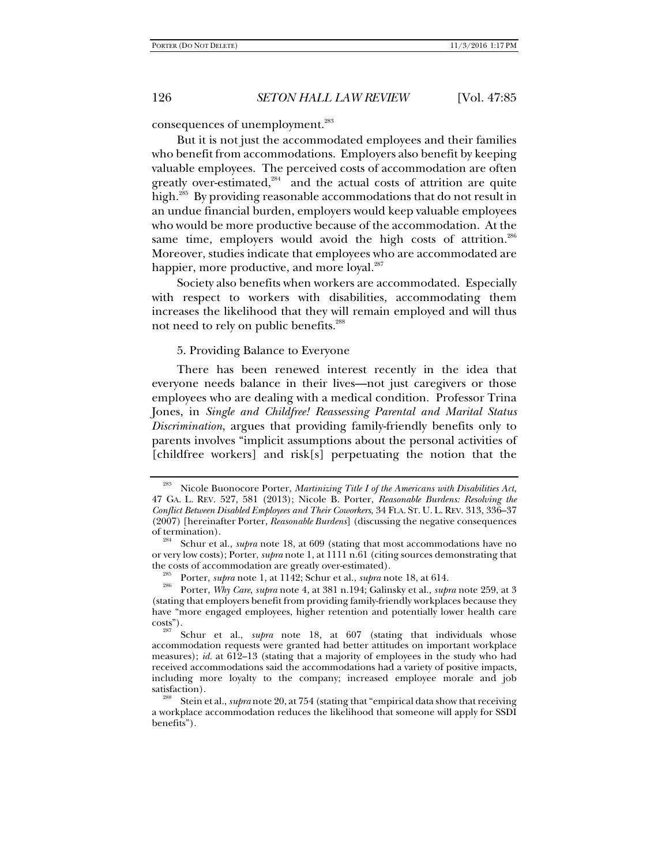consequences of unemployment.<sup>283</sup>

But it is not just the accommodated employees and their families who benefit from accommodations. Employers also benefit by keeping valuable employees. The perceived costs of accommodation are often greatly over-estimated, $284$  and the actual costs of attrition are quite high.<sup>285</sup> By providing reasonable accommodations that do not result in an undue financial burden, employers would keep valuable employees who would be more productive because of the accommodation. At the same time, employers would avoid the high costs of attrition. $286$ Moreover, studies indicate that employees who are accommodated are happier, more productive, and more loyal.<sup>287</sup>

Society also benefits when workers are accommodated. Especially with respect to workers with disabilities, accommodating them increases the likelihood that they will remain employed and will thus not need to rely on public benefits.<sup>288</sup>

#### 5. Providing Balance to Everyone

There has been renewed interest recently in the idea that everyone needs balance in their lives—not just caregivers or those employees who are dealing with a medical condition. Professor Trina Jones, in *Single and Childfree! Reassessing Parental and Marital Status Discrimination*, argues that providing family-friendly benefits only to parents involves "implicit assumptions about the personal activities of [childfree workers] and risk[s] perpetuating the notion that the

<sup>283</sup> Nicole Buonocore Porter, *Martinizing Title I of the Americans with Disabilities Act*, 47 GA. L. REV. 527, 581 (2013); Nicole B. Porter, *Reasonable Burdens: Resolving the Conflict Between Disabled Employees and Their Coworkers*, 34 FLA. ST. U. L. REV. 313, 336–37 (2007) [hereinafter Porter, *Reasonable Burdens*] (discussing the negative consequences of termination). 284 Schur et al., *supra* note 18, at 609 (stating that most accommodations have no

or very low costs); Porter, *supra* note 1, at 1111 n.61 (citing sources demonstrating that the costs of accommodation are greatly over-estimated).<br><sup>285</sup> Porter, *supra* note 1, at 1142; Schur et al., *supra* note 18, at 614.<br><sup>286</sup> Porter, *Why Care, supra* note 4, at 381 n.194; Galinsky et al., *supra* note 259,

<sup>(</sup>stating that employers benefit from providing family-friendly workplaces because they have "more engaged employees, higher retention and potentially lower health care costs").

Schur et al., *supra* note 18, at 607 (stating that individuals whose accommodation requests were granted had better attitudes on important workplace measures); *id.* at 612–13 (stating that a majority of employees in the study who had received accommodations said the accommodations had a variety of positive impacts, including more loyalty to the company; increased employee morale and job

Stein et al., *supra* note 20, at 754 (stating that "empirical data show that receiving a workplace accommodation reduces the likelihood that someone will apply for SSDI benefits").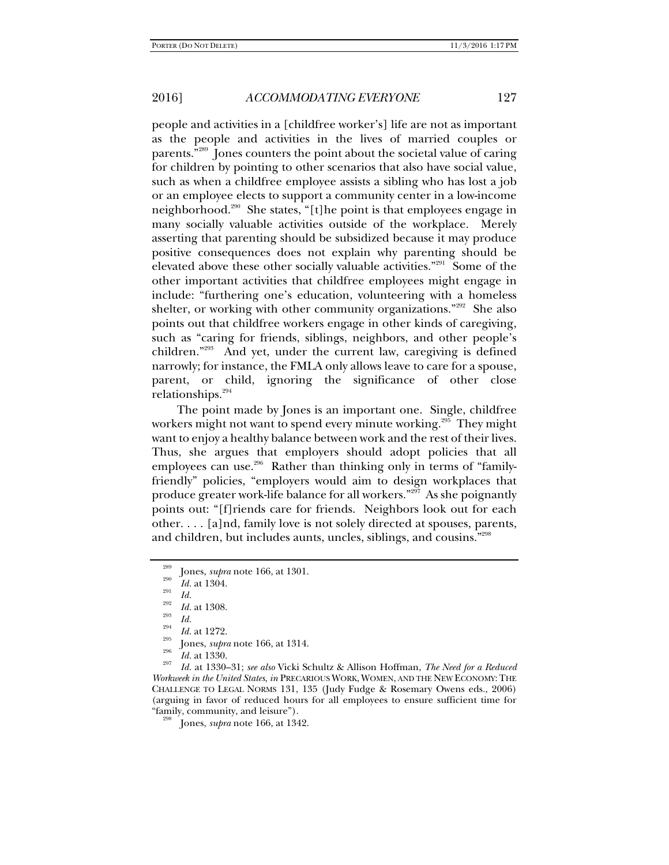people and activities in a [childfree worker's] life are not as important as the people and activities in the lives of married couples or parents."289 Jones counters the point about the societal value of caring for children by pointing to other scenarios that also have social value, such as when a childfree employee assists a sibling who has lost a job or an employee elects to support a community center in a low-income neighborhood.<sup>290</sup> She states, "[t]he point is that employees engage in many socially valuable activities outside of the workplace. Merely asserting that parenting should be subsidized because it may produce positive consequences does not explain why parenting should be elevated above these other socially valuable activities."<sup>291</sup> Some of the other important activities that childfree employees might engage in include: "furthering one's education, volunteering with a homeless shelter, or working with other community organizations."<sup>292</sup> She also points out that childfree workers engage in other kinds of caregiving, such as "caring for friends, siblings, neighbors, and other people's children."293 And yet, under the current law, caregiving is defined narrowly; for instance, the FMLA only allows leave to care for a spouse, parent, or child, ignoring the significance of other close relationships.<sup>294</sup>

The point made by Jones is an important one. Single, childfree workers might not want to spend every minute working.<sup>295</sup> They might want to enjoy a healthy balance between work and the rest of their lives. Thus, she argues that employers should adopt policies that all employees can use.<sup>296</sup> Rather than thinking only in terms of "familyfriendly" policies, "employers would aim to design workplaces that produce greater work-life balance for all workers."297 As she poignantly points out: "[f]riends care for friends. Neighbors look out for each other. . . . [a]nd, family love is not solely directed at spouses, parents, and children, but includes aunts, uncles, siblings, and cousins."298

 *Id.* at 1330. 297 *Id.* at 1330–31; *see also* Vicki Schultz & Allison Hoffman, *The Need for a Reduced Workweek in the United States*, *in* PRECARIOUS WORK, WOMEN, AND THE NEW ECONOMY: THE CHALLENGE TO LEGAL NORMS 131, 135 (Judy Fudge & Rosemary Owens eds., 2006) (arguing in favor of reduced hours for all employees to ensure sufficient time for "family, community, and leisure"). 298 Jones, *supra* note 166, at 1342.

<sup>&</sup>lt;sup>289</sup> Jones, *supra* note 166, at 1301.<br>
<sup>291</sup> *Id.* at 1304.<br>
<sup>292</sup> *Id.* at 1308.<br> *Id.* 293 *Id.* 

<sup>&</sup>lt;sup>294</sup> *Id.* at 1272.<br><sup>295</sup> Jones, *supra* note 166, at 1314.<br>*Id.* at 1330.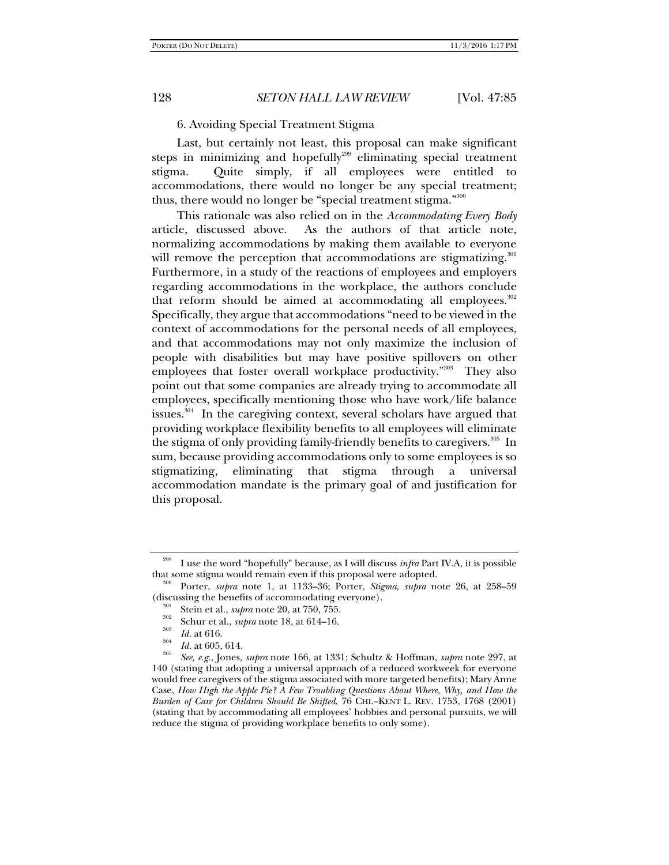6. Avoiding Special Treatment Stigma

Last, but certainly not least, this proposal can make significant steps in minimizing and hopefully<sup>299</sup> eliminating special treatment stigma. Quite simply, if all employees were entitled to accommodations, there would no longer be any special treatment; thus, there would no longer be "special treatment stigma."<sup>300</sup>

This rationale was also relied on in the *Accommodating Every Body* article, discussed above. As the authors of that article note, normalizing accommodations by making them available to everyone will remove the perception that accommodations are stigmatizing.<sup>301</sup> Furthermore, in a study of the reactions of employees and employers regarding accommodations in the workplace, the authors conclude that reform should be aimed at accommodating all employees. $302$ Specifically, they argue that accommodations "need to be viewed in the context of accommodations for the personal needs of all employees, and that accommodations may not only maximize the inclusion of people with disabilities but may have positive spillovers on other employees that foster overall workplace productivity."<sup>303</sup> They also point out that some companies are already trying to accommodate all employees, specifically mentioning those who have work/life balance issues. $304$  In the caregiving context, several scholars have argued that providing workplace flexibility benefits to all employees will eliminate the stigma of only providing family-friendly benefits to caregivers.<sup>305</sup> In sum, because providing accommodations only to some employees is so stigmatizing, eliminating that stigma through a universal accommodation mandate is the primary goal of and justification for this proposal.

<sup>&</sup>lt;sup>299</sup> I use the word "hopefully" because, as I will discuss *infra* Part IV.A, it is possible that some stigma would remain even if this proposal were adopted.

Porter, *supra* note 1, at 1133–36; Porter, *Stigma*, *supra* note 26, at 258–59 (discussing the benefits of accommodating everyone).<br><sup>301</sup> Stein et al., *supra* note 20, at 750, 755.<br><sup>302</sup> Schur et al., *supra* note 18, at 614–16.<br>*Id.* at 616.<br>*Id.* at 605, 614.

*Id.* at 605, 614. 305 *See, e.g.*, Jones, *supra* note 166, at 1331; Schultz & Hoffman, *supra* note 297, at 140 (stating that adopting a universal approach of a reduced workweek for everyone would free caregivers of the stigma associated with more targeted benefits); Mary Anne Case, *How High the Apple Pie? A Few Troubling Questions About Where, Why, and How the Burden of Care for Children Should Be Shifted*, 76 CHI.–KENT L. REV. 1753, 1768 (2001) (stating that by accommodating all employees' hobbies and personal pursuits, we will reduce the stigma of providing workplace benefits to only some).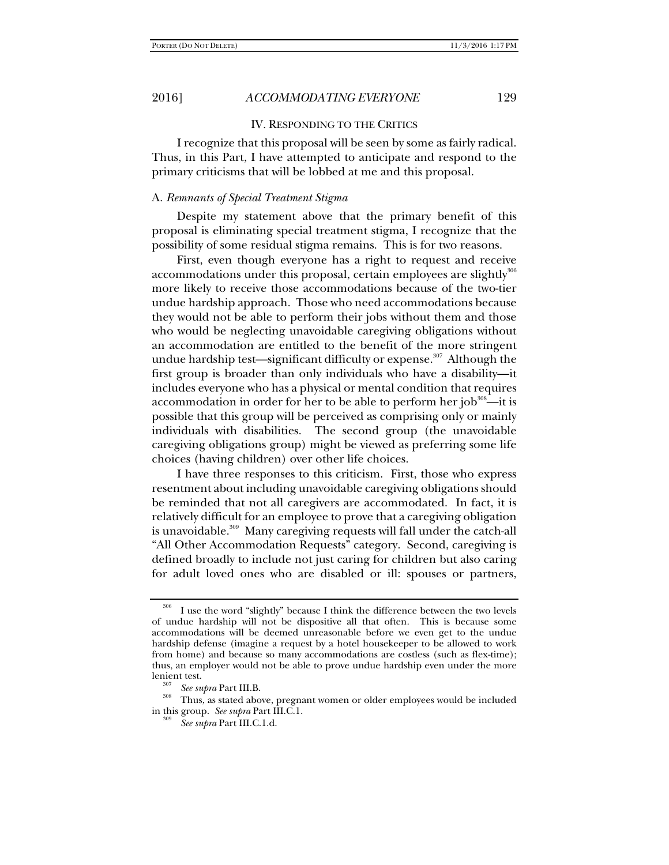### IV. RESPONDING TO THE CRITICS

I recognize that this proposal will be seen by some as fairly radical. Thus, in this Part, I have attempted to anticipate and respond to the primary criticisms that will be lobbed at me and this proposal.

### A. *Remnants of Special Treatment Stigma*

Despite my statement above that the primary benefit of this proposal is eliminating special treatment stigma, I recognize that the possibility of some residual stigma remains. This is for two reasons.

First, even though everyone has a right to request and receive accommodations under this proposal, certain employees are slightly<sup>306</sup> more likely to receive those accommodations because of the two-tier undue hardship approach. Those who need accommodations because they would not be able to perform their jobs without them and those who would be neglecting unavoidable caregiving obligations without an accommodation are entitled to the benefit of the more stringent undue hardship test—significant difficulty or expense.<sup>307</sup> Although the first group is broader than only individuals who have a disability—it includes everyone who has a physical or mental condition that requires accommodation in order for her to be able to perform her job $^{308}$ —it is possible that this group will be perceived as comprising only or mainly individuals with disabilities. The second group (the unavoidable caregiving obligations group) might be viewed as preferring some life choices (having children) over other life choices.

I have three responses to this criticism. First, those who express resentment about including unavoidable caregiving obligations should be reminded that not all caregivers are accommodated. In fact, it is relatively difficult for an employee to prove that a caregiving obligation is unavoidable.<sup>309</sup> Many caregiving requests will fall under the catch-all "All Other Accommodation Requests" category. Second, caregiving is defined broadly to include not just caring for children but also caring for adult loved ones who are disabled or ill: spouses or partners,

<sup>306</sup> I use the word "slightly" because I think the difference between the two levels of undue hardship will not be dispositive all that often. This is because some accommodations will be deemed unreasonable before we even get to the undue hardship defense (imagine a request by a hotel housekeeper to be allowed to work from home) and because so many accommodations are costless (such as flex-time); thus, an employer would not be able to prove undue hardship even under the more lenient test.<br><sup>307</sup> See supra Part III.B.

<sup>&</sup>lt;sup>308</sup> Thus, as stated above, pregnant women or older employees would be included in this group. See supra Part III.C.1.

*See supra* Part III.C.1.d.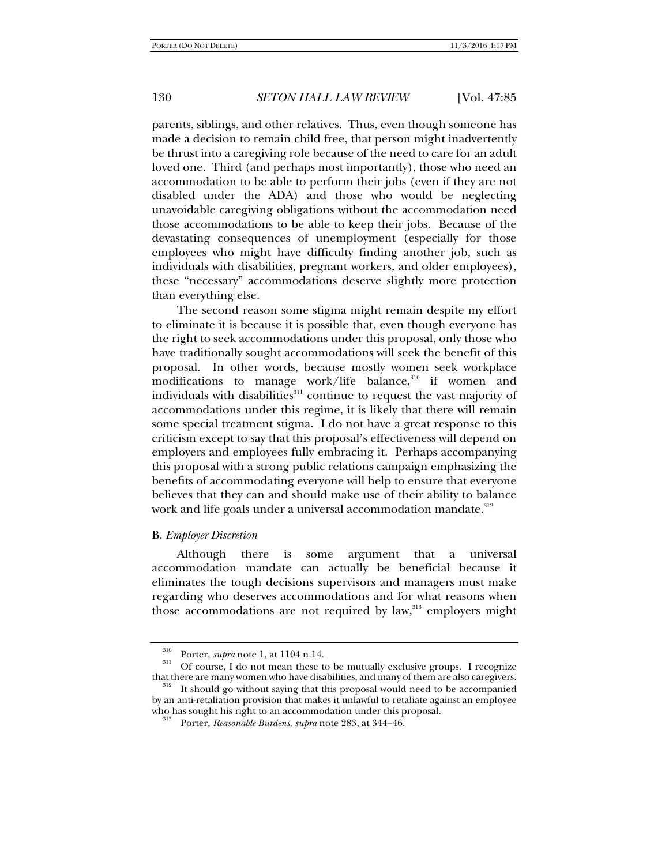parents, siblings, and other relatives. Thus, even though someone has made a decision to remain child free, that person might inadvertently be thrust into a caregiving role because of the need to care for an adult loved one. Third (and perhaps most importantly), those who need an accommodation to be able to perform their jobs (even if they are not disabled under the ADA) and those who would be neglecting unavoidable caregiving obligations without the accommodation need those accommodations to be able to keep their jobs. Because of the devastating consequences of unemployment (especially for those employees who might have difficulty finding another job, such as individuals with disabilities, pregnant workers, and older employees), these "necessary" accommodations deserve slightly more protection than everything else.

The second reason some stigma might remain despite my effort to eliminate it is because it is possible that, even though everyone has the right to seek accommodations under this proposal, only those who have traditionally sought accommodations will seek the benefit of this proposal. In other words, because mostly women seek workplace modifications to manage work/life balance, $310$  if women and individuals with disabilities<sup>311</sup> continue to request the vast majority of accommodations under this regime, it is likely that there will remain some special treatment stigma. I do not have a great response to this criticism except to say that this proposal's effectiveness will depend on employers and employees fully embracing it. Perhaps accompanying this proposal with a strong public relations campaign emphasizing the benefits of accommodating everyone will help to ensure that everyone believes that they can and should make use of their ability to balance work and life goals under a universal accommodation mandate.<sup>312</sup>

### B. *Employer Discretion*

Although there is some argument that a universal accommodation mandate can actually be beneficial because it eliminates the tough decisions supervisors and managers must make regarding who deserves accommodations and for what reasons when those accommodations are not required by law, $313$  employers might

<sup>&</sup>lt;sup>310</sup> Porter, *supra* note 1, at 1104 n.14.<br><sup>311</sup> Of course, I do not mean these to be mutually exclusive groups. I recognize that there are many women who have disabilities, and many of them are also caregivers.<br><sup>312</sup> It should go without saying that this proposal would need to be accompanied

by an anti-retaliation provision that makes it unlawful to retaliate against an employee who has sought his right to an accommodation under this proposal. 313 Porter, *Reasonable Burdens*, *supra* note 283, at 344–46.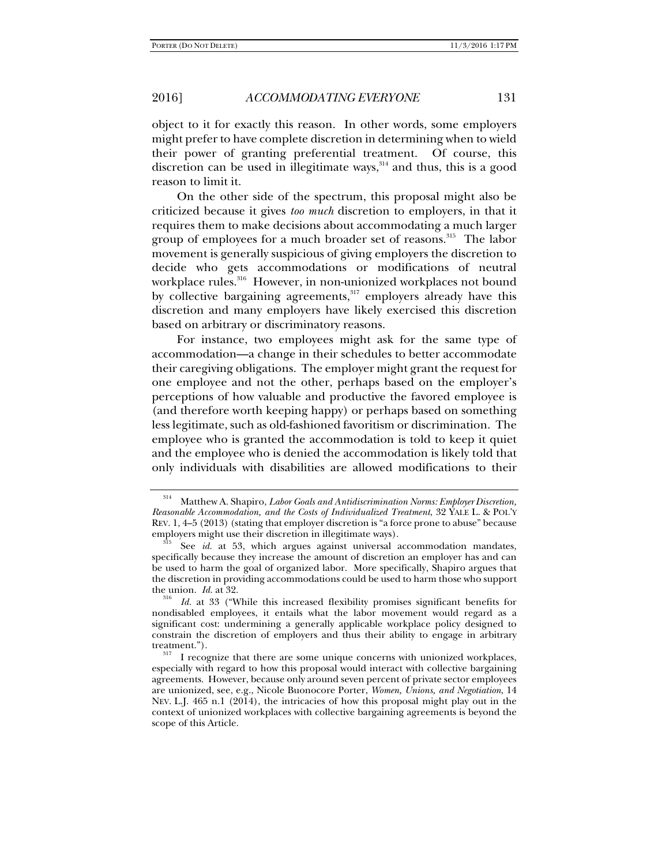object to it for exactly this reason. In other words, some employers might prefer to have complete discretion in determining when to wield their power of granting preferential treatment. Of course, this discretion can be used in illegitimate ways, $314$  and thus, this is a good reason to limit it.

On the other side of the spectrum, this proposal might also be criticized because it gives *too much* discretion to employers, in that it requires them to make decisions about accommodating a much larger group of employees for a much broader set of reasons.<sup>315</sup> The labor movement is generally suspicious of giving employers the discretion to decide who gets accommodations or modifications of neutral workplace rules.<sup>316</sup> However, in non-unionized workplaces not bound by collective bargaining agreements,<sup>317</sup> employers already have this discretion and many employers have likely exercised this discretion based on arbitrary or discriminatory reasons.

For instance, two employees might ask for the same type of accommodation—a change in their schedules to better accommodate their caregiving obligations. The employer might grant the request for one employee and not the other, perhaps based on the employer's perceptions of how valuable and productive the favored employee is (and therefore worth keeping happy) or perhaps based on something less legitimate, such as old-fashioned favoritism or discrimination. The employee who is granted the accommodation is told to keep it quiet and the employee who is denied the accommodation is likely told that only individuals with disabilities are allowed modifications to their

<sup>314</sup> Matthew A. Shapiro, *Labor Goals and Antidiscrimination Norms: Employer Discretion, Reasonable Accommodation, and the Costs of Individualized Treatment*, 32 YALE L. & POL'Y REV. 1, 4–5 (2013) (stating that employer discretion is "a force prone to abuse" because

See id. at 53, which argues against universal accommodation mandates, specifically because they increase the amount of discretion an employer has and can be used to harm the goal of organized labor. More specifically, Shapiro argues that the discretion in providing accommodations could be used to harm those who support the union. *Id.* at 32.<br><sup>316</sup> *Id.* at 33 ("While this increased flexibility promises significant benefits for

nondisabled employees, it entails what the labor movement would regard as a significant cost: undermining a generally applicable workplace policy designed to constrain the discretion of employers and thus their ability to engage in arbitrary

treatment.").  $\frac{317}{317}$  I recognize that there are some unique concerns with unionized workplaces, especially with regard to how this proposal would interact with collective bargaining agreements. However, because only around seven percent of private sector employees are unionized, see, e.g., Nicole Buonocore Porter, *Women, Unions, and Negotiation*, 14 NEV. L.J. 465 n.1 (2014), the intricacies of how this proposal might play out in the context of unionized workplaces with collective bargaining agreements is beyond the scope of this Article.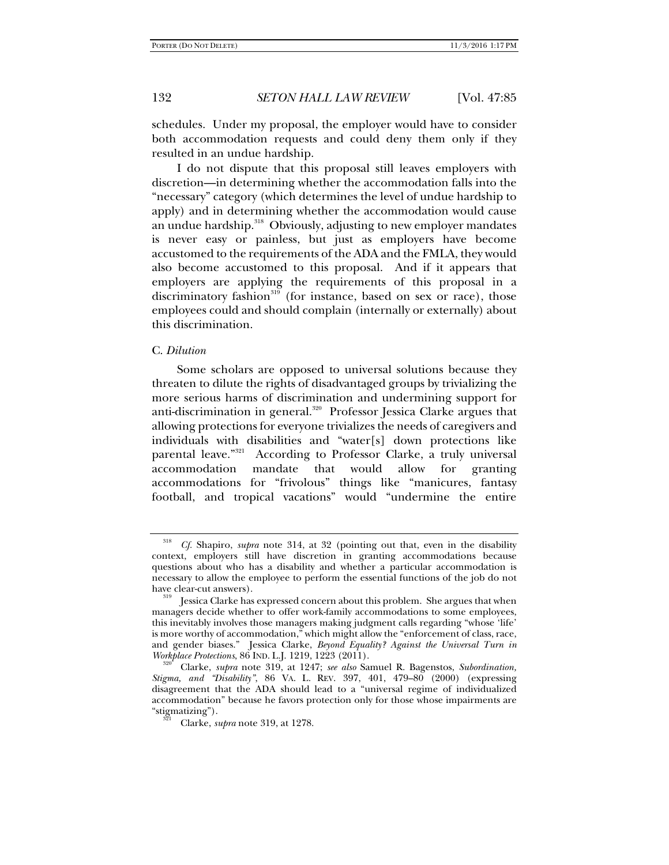schedules. Under my proposal, the employer would have to consider both accommodation requests and could deny them only if they resulted in an undue hardship.

I do not dispute that this proposal still leaves employers with discretion—in determining whether the accommodation falls into the "necessary" category (which determines the level of undue hardship to apply) and in determining whether the accommodation would cause an undue hardship.<sup>318</sup> Obviously, adjusting to new employer mandates is never easy or painless, but just as employers have become accustomed to the requirements of the ADA and the FMLA, they would also become accustomed to this proposal. And if it appears that employers are applying the requirements of this proposal in a discriminatory fashion<sup>319</sup> (for instance, based on sex or race), those employees could and should complain (internally or externally) about this discrimination.

#### C. *Dilution*

Some scholars are opposed to universal solutions because they threaten to dilute the rights of disadvantaged groups by trivializing the more serious harms of discrimination and undermining support for anti-discrimination in general.<sup>320</sup> Professor Jessica Clarke argues that allowing protections for everyone trivializes the needs of caregivers and individuals with disabilities and "water[s] down protections like parental leave."<sup>321</sup> According to Professor Clarke, a truly universal According to Professor Clarke, a truly universal accommodation mandate that would allow for granting accommodations for "frivolous" things like "manicures, fantasy football, and tropical vacations" would "undermine the entire

<sup>318</sup> *Cf.* Shapiro, *supra* note 314, at 32 (pointing out that, even in the disability context, employers still have discretion in granting accommodations because questions about who has a disability and whether a particular accommodation is necessary to allow the employee to perform the essential functions of the job do not have clear-cut answers).<br><sup>319</sup> Jessica Clarke has expressed concern about this problem. She argues that when

managers decide whether to offer work-family accommodations to some employees, this inevitably involves those managers making judgment calls regarding "whose 'life' is more worthy of accommodation," which might allow the "enforcement of class, race, and gender biases." Jessica Clarke, *Beyond Equality? Against the Universal Turn in* 

*Clarke, supra* note 319, at 1247; *see also* Samuel R. Bagenstos, *Subordination*, *Stigma, and "Disability"*, 86 VA. L. REV. 397, 401, 479–80 (2000) (expressing disagreement that the ADA should lead to a "universal regime of individualized accommodation" because he favors protection only for those whose impairments are "stigmatizing"). 321 Clarke, *supra* note 319, at 1278.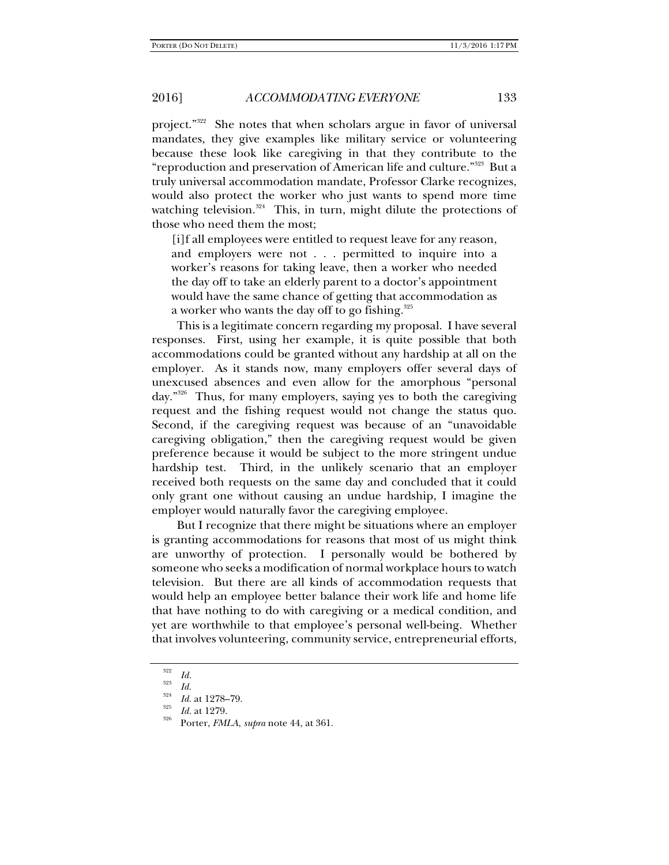project."<sup>322</sup> She notes that when scholars argue in favor of universal mandates, they give examples like military service or volunteering because these look like caregiving in that they contribute to the "reproduction and preservation of American life and culture."323 But a truly universal accommodation mandate, Professor Clarke recognizes, would also protect the worker who just wants to spend more time watching television. $324$  This, in turn, might dilute the protections of those who need them the most;

[i]f all employees were entitled to request leave for any reason, and employers were not . . . permitted to inquire into a worker's reasons for taking leave, then a worker who needed the day off to take an elderly parent to a doctor's appointment would have the same chance of getting that accommodation as a worker who wants the day off to go fishing.<sup>325</sup>

This is a legitimate concern regarding my proposal. I have several responses. First, using her example, it is quite possible that both accommodations could be granted without any hardship at all on the employer. As it stands now, many employers offer several days of unexcused absences and even allow for the amorphous "personal day."326 Thus, for many employers, saying yes to both the caregiving request and the fishing request would not change the status quo. Second, if the caregiving request was because of an "unavoidable caregiving obligation," then the caregiving request would be given preference because it would be subject to the more stringent undue hardship test. Third, in the unlikely scenario that an employer received both requests on the same day and concluded that it could only grant one without causing an undue hardship, I imagine the employer would naturally favor the caregiving employee.

But I recognize that there might be situations where an employer is granting accommodations for reasons that most of us might think are unworthy of protection. I personally would be bothered by someone who seeks a modification of normal workplace hours to watch television. But there are all kinds of accommodation requests that would help an employee better balance their work life and home life that have nothing to do with caregiving or a medical condition, and yet are worthwhile to that employee's personal well-being. Whether that involves volunteering, community service, entrepreneurial efforts,

<sup>322</sup>

<sup>&</sup>lt;sup>322</sup> *Id.*<br><sup>323</sup> *Id.*<br><sup>324</sup> *Id.* at 1278–79.

*Id.* at 1278–79. 325 *Id.* at 1279. 326 Porter, *FMLA*, *supra* note 44, at 361.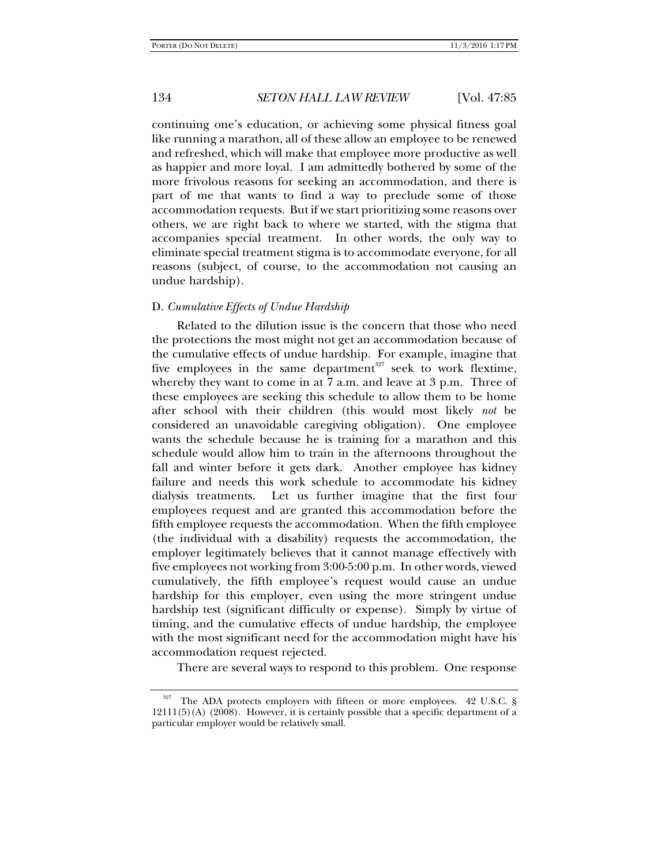continuing one's education, or achieving some physical fitness goal like running a marathon, all of these allow an employee to be renewed and refreshed, which will make that employee more productive as well as happier and more loyal. I am admittedly bothered by some of the more frivolous reasons for seeking an accommodation, and there is part of me that wants to find a way to preclude some of those accommodation requests. But if we start prioritizing some reasons over others, we are right back to where we started, with the stigma that accompanies special treatment. In other words, the only way to eliminate special treatment stigma is to accommodate everyone, for all reasons (subject, of course, to the accommodation not causing an undue hardship).

# D. *Cumulative Effects of Undue Hardship*

Related to the dilution issue is the concern that those who need the protections the most might not get an accommodation because of the cumulative effects of undue hardship. For example, imagine that five employees in the same department<sup>327</sup> seek to work flextime, whereby they want to come in at 7 a.m. and leave at 3 p.m. Three of these employees are seeking this schedule to allow them to be home after school with their children (this would most likely *not* be considered an unavoidable caregiving obligation). One employee wants the schedule because he is training for a marathon and this schedule would allow him to train in the afternoons throughout the fall and winter before it gets dark. Another employee has kidney failure and needs this work schedule to accommodate his kidney dialysis treatments. Let us further imagine that the first four employees request and are granted this accommodation before the fifth employee requests the accommodation. When the fifth employee (the individual with a disability) requests the accommodation, the employer legitimately believes that it cannot manage effectively with five employees not working from 3:00-5:00 p.m. In other words, viewed cumulatively, the fifth employee's request would cause an undue hardship for this employer, even using the more stringent undue hardship test (significant difficulty or expense). Simply by virtue of timing, and the cumulative effects of undue hardship, the employee with the most significant need for the accommodation might have his accommodation request rejected.

There are several ways to respond to this problem. One response

The ADA protects employers with fifteen or more employees. 42 U.S.C. §  $12111(5)$ (A)  $(2008)$ . However, it is certainly possible that a specific department of a particular employer would be relatively small.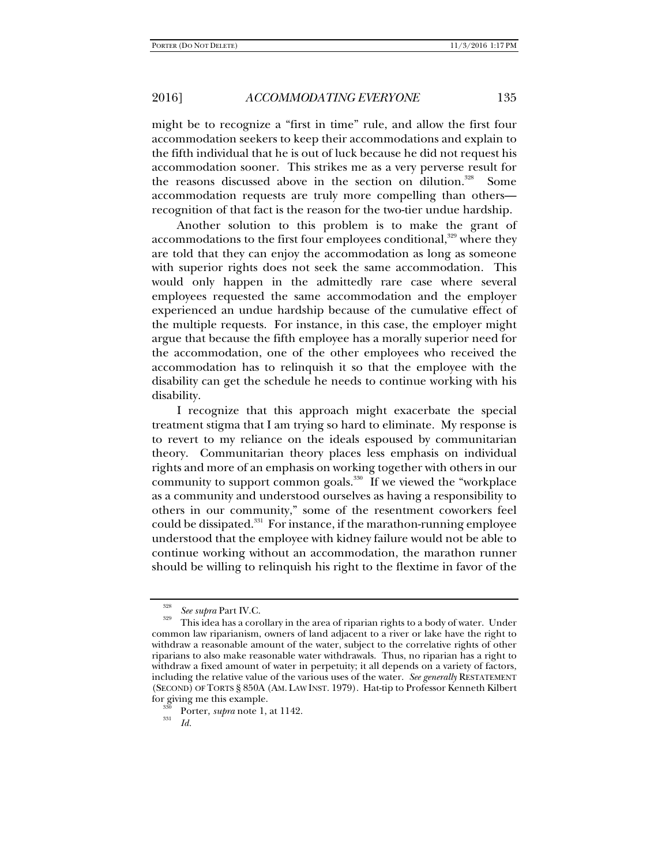might be to recognize a "first in time" rule, and allow the first four accommodation seekers to keep their accommodations and explain to the fifth individual that he is out of luck because he did not request his accommodation sooner. This strikes me as a very perverse result for the reasons discussed above in the section on dilution.<sup>328</sup> Some accommodation requests are truly more compelling than others recognition of that fact is the reason for the two-tier undue hardship.

Another solution to this problem is to make the grant of accommodations to the first four employees conditional, $329$  where they are told that they can enjoy the accommodation as long as someone with superior rights does not seek the same accommodation. This would only happen in the admittedly rare case where several employees requested the same accommodation and the employer experienced an undue hardship because of the cumulative effect of the multiple requests. For instance, in this case, the employer might argue that because the fifth employee has a morally superior need for the accommodation, one of the other employees who received the accommodation has to relinquish it so that the employee with the disability can get the schedule he needs to continue working with his disability.

I recognize that this approach might exacerbate the special treatment stigma that I am trying so hard to eliminate. My response is to revert to my reliance on the ideals espoused by communitarian theory. Communitarian theory places less emphasis on individual rights and more of an emphasis on working together with others in our community to support common goals.<sup>330</sup> If we viewed the "workplace" as a community and understood ourselves as having a responsibility to others in our community," some of the resentment coworkers feel could be dissipated. $331$  For instance, if the marathon-running employee understood that the employee with kidney failure would not be able to continue working without an accommodation, the marathon runner should be willing to relinquish his right to the flextime in favor of the

*Id.*

<sup>328</sup>

<sup>&</sup>lt;sup>328</sup> *See supra* Part IV.C.<br><sup>329</sup> This idea has a corollary in the area of riparian rights to a body of water. Under common law riparianism, owners of land adjacent to a river or lake have the right to withdraw a reasonable amount of the water, subject to the correlative rights of other riparians to also make reasonable water withdrawals. Thus, no riparian has a right to withdraw a fixed amount of water in perpetuity; it all depends on a variety of factors, including the relative value of the various uses of the water. *See generally* RESTATEMENT (SECOND) OF TORTS § 850A (AM. LAW INST. 1979). Hat-tip to Professor Kenneth Kilbert for giving me this example. 330 Porter, *supra* note 1, at 1142. 331